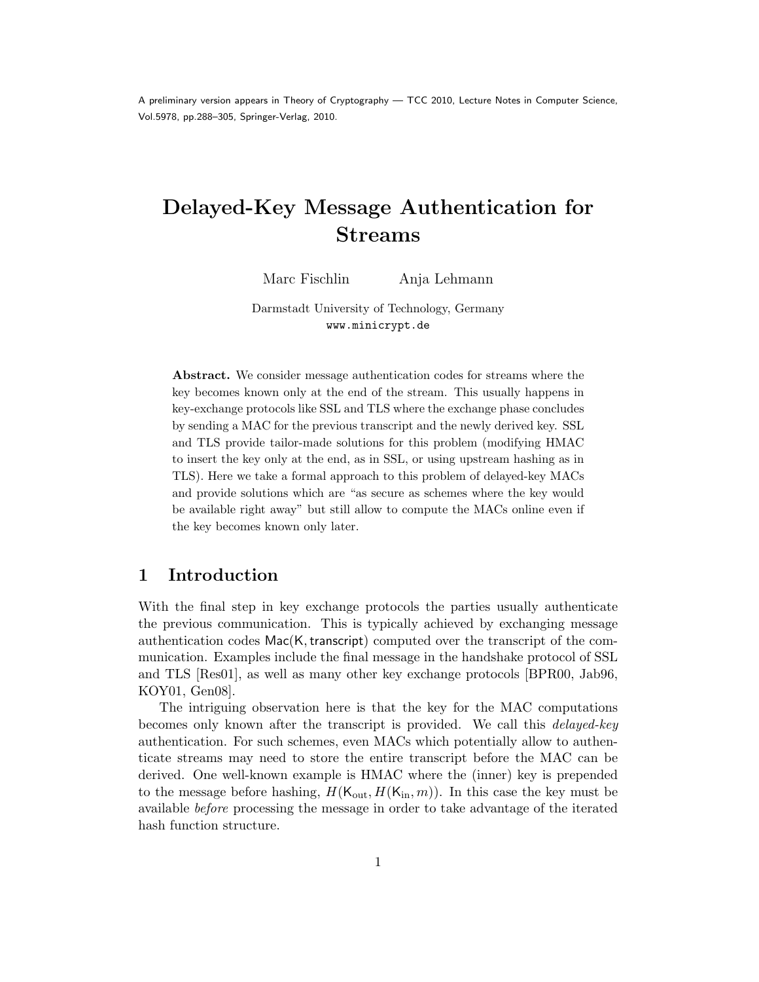A preliminary version appears in Theory of Cryptography — TCC 2010, Lecture Notes in Computer Science, Vol.5978, pp.288–305, Springer-Verlag, 2010.

# Delayed-Key Message Authentication for Streams

Marc Fischlin Anja Lehmann

Darmstadt University of Technology, Germany www.minicrypt.de

Abstract. We consider message authentication codes for streams where the key becomes known only at the end of the stream. This usually happens in key-exchange protocols like SSL and TLS where the exchange phase concludes by sending a MAC for the previous transcript and the newly derived key. SSL and TLS provide tailor-made solutions for this problem (modifying HMAC to insert the key only at the end, as in SSL, or using upstream hashing as in TLS). Here we take a formal approach to this problem of delayed-key MACs and provide solutions which are "as secure as schemes where the key would be available right away" but still allow to compute the MACs online even if the key becomes known only later.

# 1 Introduction

With the final step in key exchange protocols the parties usually authenticate the previous communication. This is typically achieved by exchanging message authentication codes  $\textsf{Mac}(K, \text{transcript})$  computed over the transcript of the communication. Examples include the final message in the handshake protocol of SSL and TLS [Res01], as well as many other key exchange protocols [BPR00, Jab96, KOY01, Gen08].

The intriguing observation here is that the key for the MAC computations becomes only known after the transcript is provided. We call this delayed-key authentication. For such schemes, even MACs which potentially allow to authenticate streams may need to store the entire transcript before the MAC can be derived. One well-known example is HMAC where the (inner) key is prepended to the message before hashing,  $H(K_{\text{out}}, H(K_{\text{in}}, m))$ . In this case the key must be available before processing the message in order to take advantage of the iterated hash function structure.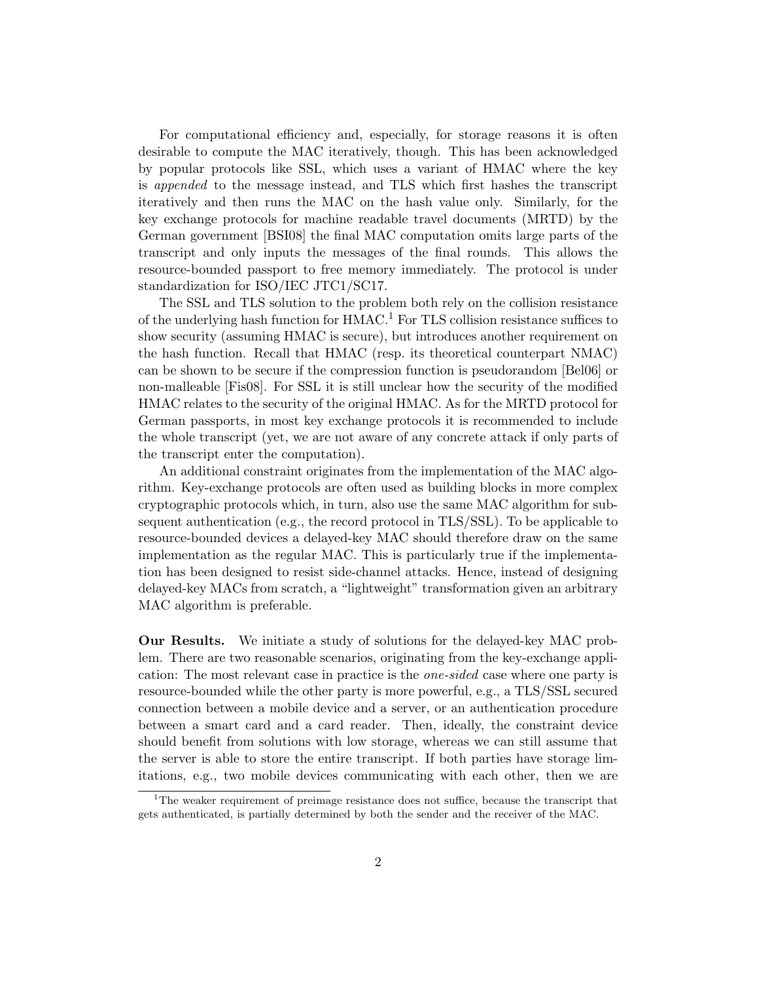For computational efficiency and, especially, for storage reasons it is often desirable to compute the MAC iteratively, though. This has been acknowledged by popular protocols like SSL, which uses a variant of HMAC where the key is appended to the message instead, and TLS which first hashes the transcript iteratively and then runs the MAC on the hash value only. Similarly, for the key exchange protocols for machine readable travel documents (MRTD) by the German government [BSI08] the final MAC computation omits large parts of the transcript and only inputs the messages of the final rounds. This allows the resource-bounded passport to free memory immediately. The protocol is under standardization for ISO/IEC JTC1/SC17.

The SSL and TLS solution to the problem both rely on the collision resistance of the underlying hash function for  $HMAC<sup>1</sup>$  For TLS collision resistance suffices to show security (assuming HMAC is secure), but introduces another requirement on the hash function. Recall that HMAC (resp. its theoretical counterpart NMAC) can be shown to be secure if the compression function is pseudorandom [Bel06] or non-malleable [Fis08]. For SSL it is still unclear how the security of the modified HMAC relates to the security of the original HMAC. As for the MRTD protocol for German passports, in most key exchange protocols it is recommended to include the whole transcript (yet, we are not aware of any concrete attack if only parts of the transcript enter the computation).

An additional constraint originates from the implementation of the MAC algorithm. Key-exchange protocols are often used as building blocks in more complex cryptographic protocols which, in turn, also use the same MAC algorithm for subsequent authentication (e.g., the record protocol in TLS/SSL). To be applicable to resource-bounded devices a delayed-key MAC should therefore draw on the same implementation as the regular MAC. This is particularly true if the implementation has been designed to resist side-channel attacks. Hence, instead of designing delayed-key MACs from scratch, a "lightweight" transformation given an arbitrary MAC algorithm is preferable.

Our Results. We initiate a study of solutions for the delayed-key MAC problem. There are two reasonable scenarios, originating from the key-exchange application: The most relevant case in practice is the one-sided case where one party is resource-bounded while the other party is more powerful, e.g., a TLS/SSL secured connection between a mobile device and a server, or an authentication procedure between a smart card and a card reader. Then, ideally, the constraint device should benefit from solutions with low storage, whereas we can still assume that the server is able to store the entire transcript. If both parties have storage limitations, e.g., two mobile devices communicating with each other, then we are

<sup>&</sup>lt;sup>1</sup>The weaker requirement of preimage resistance does not suffice, because the transcript that gets authenticated, is partially determined by both the sender and the receiver of the MAC.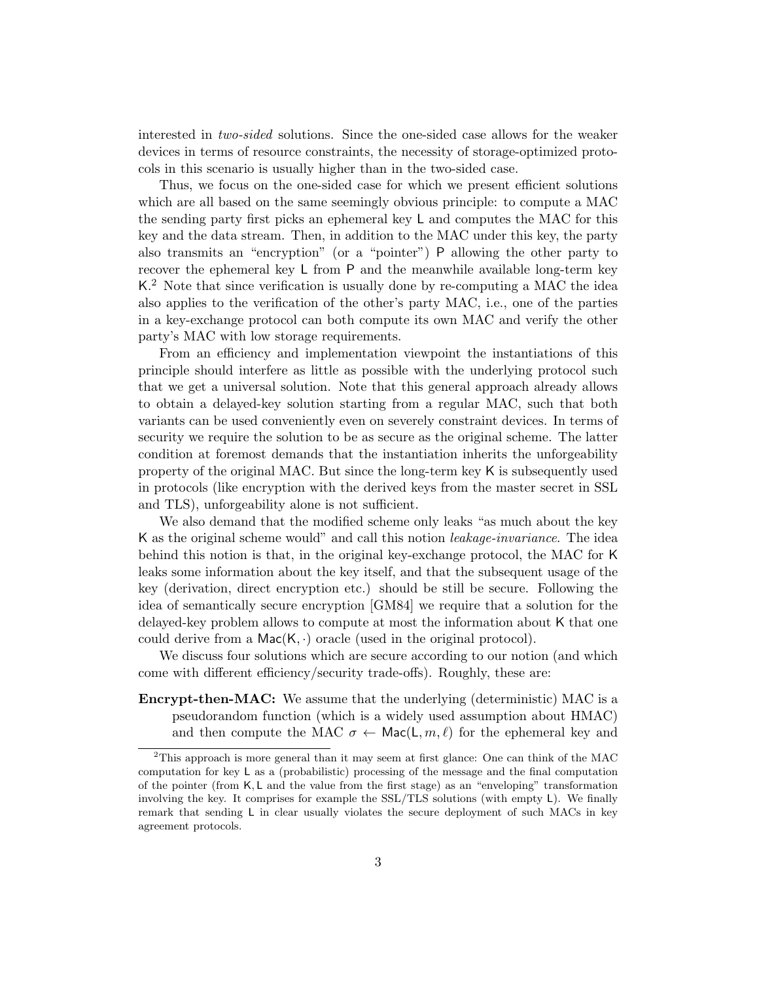interested in two-sided solutions. Since the one-sided case allows for the weaker devices in terms of resource constraints, the necessity of storage-optimized protocols in this scenario is usually higher than in the two-sided case.

Thus, we focus on the one-sided case for which we present efficient solutions which are all based on the same seemingly obvious principle: to compute a MAC the sending party first picks an ephemeral key L and computes the MAC for this key and the data stream. Then, in addition to the MAC under this key, the party also transmits an "encryption" (or a "pointer") P allowing the other party to recover the ephemeral key L from P and the meanwhile available long-term key K.<sup>2</sup> Note that since verification is usually done by re-computing a MAC the idea also applies to the verification of the other's party MAC, i.e., one of the parties in a key-exchange protocol can both compute its own MAC and verify the other party's MAC with low storage requirements.

From an efficiency and implementation viewpoint the instantiations of this principle should interfere as little as possible with the underlying protocol such that we get a universal solution. Note that this general approach already allows to obtain a delayed-key solution starting from a regular MAC, such that both variants can be used conveniently even on severely constraint devices. In terms of security we require the solution to be as secure as the original scheme. The latter condition at foremost demands that the instantiation inherits the unforgeability property of the original MAC. But since the long-term key K is subsequently used in protocols (like encryption with the derived keys from the master secret in SSL and TLS), unforgeability alone is not sufficient.

We also demand that the modified scheme only leaks "as much about the key K as the original scheme would" and call this notion *leakage-invariance*. The idea behind this notion is that, in the original key-exchange protocol, the MAC for K leaks some information about the key itself, and that the subsequent usage of the key (derivation, direct encryption etc.) should be still be secure. Following the idea of semantically secure encryption [GM84] we require that a solution for the delayed-key problem allows to compute at most the information about K that one could derive from a  $Mac(K, \cdot)$  oracle (used in the original protocol).

We discuss four solutions which are secure according to our notion (and which come with different efficiency/security trade-offs). Roughly, these are:

Encrypt-then-MAC: We assume that the underlying (deterministic) MAC is a pseudorandom function (which is a widely used assumption about HMAC) and then compute the MAC  $\sigma \leftarrow \text{Mac}(L, m, \ell)$  for the ephemeral key and

<sup>&</sup>lt;sup>2</sup>This approach is more general than it may seem at first glance: One can think of the MAC computation for key L as a (probabilistic) processing of the message and the final computation of the pointer (from K, L and the value from the first stage) as an "enveloping" transformation involving the key. It comprises for example the SSL/TLS solutions (with empty L). We finally remark that sending L in clear usually violates the secure deployment of such MACs in key agreement protocols.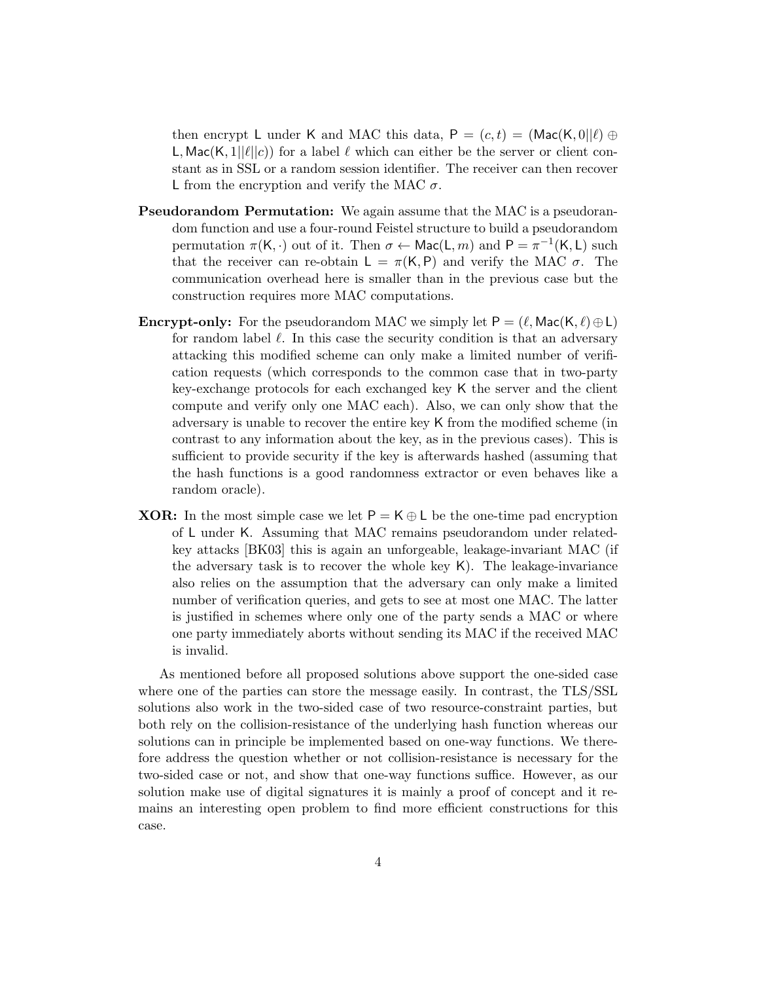then encrypt L under K and MAC this data,  $P = (c, t) = (Mac(K, 0||\ell) \oplus$ L, Mac(K, 1|| $\ell$ ||c)) for a label  $\ell$  which can either be the server or client constant as in SSL or a random session identifier. The receiver can then recover L from the encryption and verify the MAC  $\sigma$ .

- Pseudorandom Permutation: We again assume that the MAC is a pseudorandom function and use a four-round Feistel structure to build a pseudorandom permutation  $\pi(K, \cdot)$  out of it. Then  $\sigma \leftarrow \text{Mac}(L, m)$  and  $P = \pi^{-1}(K, L)$  such that the receiver can re-obtain  $L = \pi(K, P)$  and verify the MAC  $\sigma$ . The communication overhead here is smaller than in the previous case but the construction requires more MAC computations.
- **Encrypt-only:** For the pseudorandom MAC we simply let  $P = (\ell, Mac(K, \ell) \oplus L)$ for random label  $\ell$ . In this case the security condition is that an adversary attacking this modified scheme can only make a limited number of verification requests (which corresponds to the common case that in two-party key-exchange protocols for each exchanged key K the server and the client compute and verify only one MAC each). Also, we can only show that the adversary is unable to recover the entire key K from the modified scheme (in contrast to any information about the key, as in the previous cases). This is sufficient to provide security if the key is afterwards hashed (assuming that the hash functions is a good randomness extractor or even behaves like a random oracle).
- **XOR:** In the most simple case we let  $P = K \oplus L$  be the one-time pad encryption of L under K. Assuming that MAC remains pseudorandom under relatedkey attacks [BK03] this is again an unforgeable, leakage-invariant MAC (if the adversary task is to recover the whole key K). The leakage-invariance also relies on the assumption that the adversary can only make a limited number of verification queries, and gets to see at most one MAC. The latter is justified in schemes where only one of the party sends a MAC or where one party immediately aborts without sending its MAC if the received MAC is invalid.

As mentioned before all proposed solutions above support the one-sided case where one of the parties can store the message easily. In contrast, the TLS/SSL solutions also work in the two-sided case of two resource-constraint parties, but both rely on the collision-resistance of the underlying hash function whereas our solutions can in principle be implemented based on one-way functions. We therefore address the question whether or not collision-resistance is necessary for the two-sided case or not, and show that one-way functions suffice. However, as our solution make use of digital signatures it is mainly a proof of concept and it remains an interesting open problem to find more efficient constructions for this case.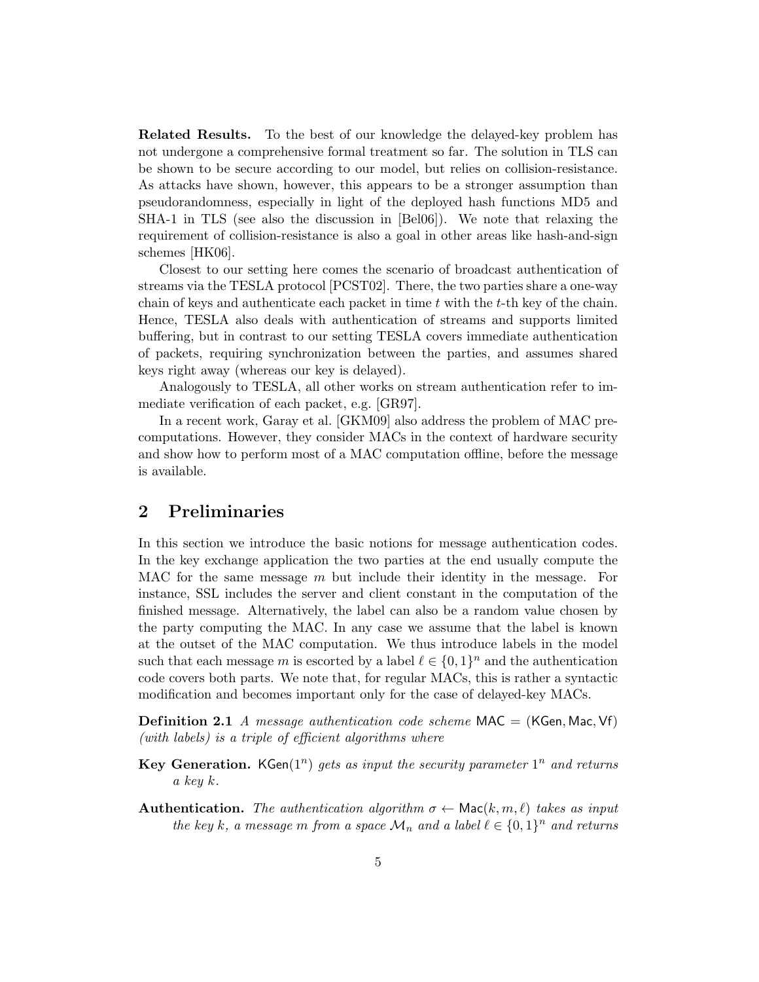Related Results. To the best of our knowledge the delayed-key problem has not undergone a comprehensive formal treatment so far. The solution in TLS can be shown to be secure according to our model, but relies on collision-resistance. As attacks have shown, however, this appears to be a stronger assumption than pseudorandomness, especially in light of the deployed hash functions MD5 and SHA-1 in TLS (see also the discussion in [Bel06]). We note that relaxing the requirement of collision-resistance is also a goal in other areas like hash-and-sign schemes [HK06].

Closest to our setting here comes the scenario of broadcast authentication of streams via the TESLA protocol [PCST02]. There, the two parties share a one-way chain of keys and authenticate each packet in time  $t$  with the  $t$ -th key of the chain. Hence, TESLA also deals with authentication of streams and supports limited buffering, but in contrast to our setting TESLA covers immediate authentication of packets, requiring synchronization between the parties, and assumes shared keys right away (whereas our key is delayed).

Analogously to TESLA, all other works on stream authentication refer to immediate verification of each packet, e.g. [GR97].

In a recent work, Garay et al. [GKM09] also address the problem of MAC precomputations. However, they consider MACs in the context of hardware security and show how to perform most of a MAC computation offline, before the message is available.

# 2 Preliminaries

In this section we introduce the basic notions for message authentication codes. In the key exchange application the two parties at the end usually compute the MAC for the same message  $m$  but include their identity in the message. For instance, SSL includes the server and client constant in the computation of the finished message. Alternatively, the label can also be a random value chosen by the party computing the MAC. In any case we assume that the label is known at the outset of the MAC computation. We thus introduce labels in the model such that each message m is escorted by a label  $\ell \in \{0,1\}^n$  and the authentication code covers both parts. We note that, for regular MACs, this is rather a syntactic modification and becomes important only for the case of delayed-key MACs.

**Definition 2.1** A message authentication code scheme MAC = (KGen, Mac, Vf) (with labels) is a triple of efficient algorithms where

- **Key Generation.** KGen( $1<sup>n</sup>$ ) gets as input the security parameter  $1<sup>n</sup>$  and returns a key  $k$ .
- Authentication. The authentication algorithm  $\sigma \leftarrow \text{Mac}(k, m, \ell)$  takes as input the key k, a message m from a space  $\mathcal{M}_n$  and a label  $\ell \in \{0,1\}^n$  and returns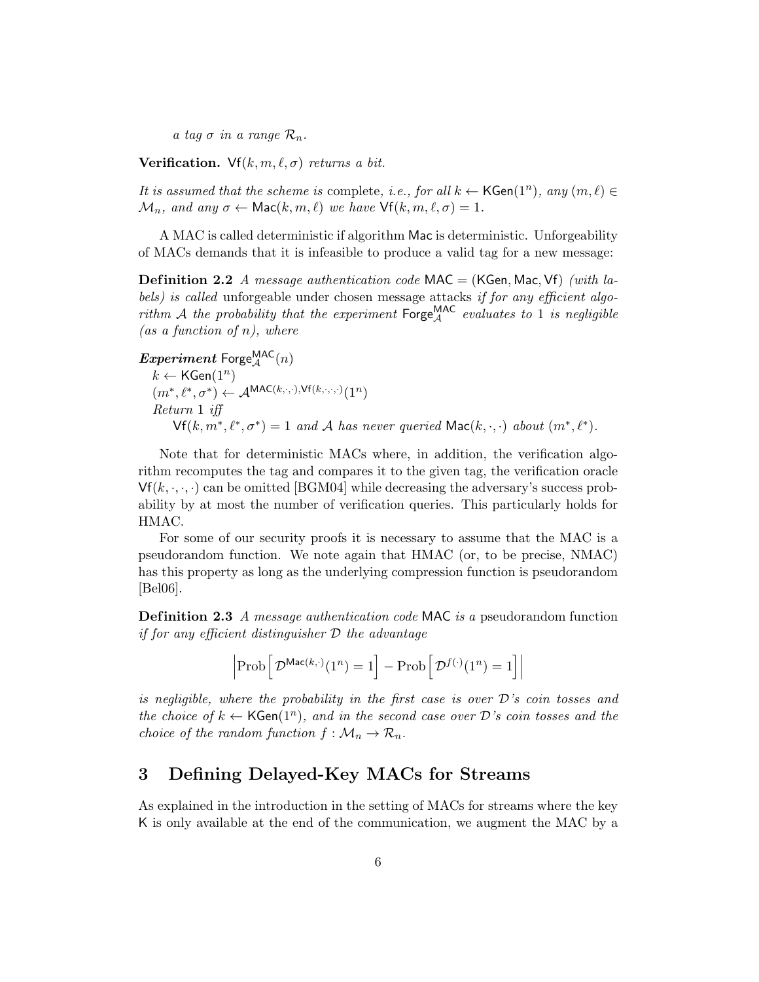a tag  $\sigma$  in a range  $\mathcal{R}_n$ .

Verification. Vf $(k, m, \ell, \sigma)$  returns a bit.

It is assumed that the scheme is complete, i.e., for all  $k \leftarrow \mathsf{KGen}(1^n)$ , any  $(m, \ell) \in$  $\mathcal{M}_n$ , and any  $\sigma \leftarrow \text{Mac}(k, m, \ell)$  we have  $\text{Vf}(k, m, \ell, \sigma) = 1$ .

A MAC is called deterministic if algorithm Mac is deterministic. Unforgeability of MACs demands that it is infeasible to produce a valid tag for a new message:

**Definition 2.2** A message authentication code  $\text{MAC} = (\text{KGen}, \text{Mac}, \text{Vf})$  (with labels) is called unforgeable under chosen message attacks if for any efficient algorithm A the probability that the experiment  $\mathsf{Forge}_{\mathcal{A}}^{\mathsf{MAC}}$  evaluates to 1 is negligible (as a function of  $n$ ), where

 $Experiment$  Forge $_{\mathcal{A}}^{\textsf{MAC}}(n)$  $k \leftarrow \mathsf{KGen}(1^n)$  $(m^*, \ell^*, \sigma^*) \leftarrow \mathcal{A}^{\text{MAC}(k, \cdot, \cdot), \text{Vf}(k, \cdot, \cdot, \cdot)}(1^n)$ Return 1 iff  $\mathsf{Vf}(k, m^*, \ell^*, \sigma^*) = 1$  and A has never queried  $\mathsf{Mac}(k, \cdot, \cdot)$  about  $(m^*, \ell^*).$ 

Note that for deterministic MACs where, in addition, the verification algorithm recomputes the tag and compares it to the given tag, the verification oracle  $Vf(k, \cdot, \cdot, \cdot)$  can be omitted [BGM04] while decreasing the adversary's success probability by at most the number of verification queries. This particularly holds for HMAC.

For some of our security proofs it is necessary to assume that the MAC is a pseudorandom function. We note again that HMAC (or, to be precise, NMAC) has this property as long as the underlying compression function is pseudorandom [Bel06].

**Definition 2.3** A message authentication code MAC is a pseudorandom function if for any efficient distinguisher  $D$  the advantage

$$
\left|\text{Prob}\left[\mathcal{D}^{\text{Mac}(k,\cdot)}(1^n) = 1\right] - \text{Prob}\left[\mathcal{D}^{f(\cdot)}(1^n) = 1\right]\right|
$$

is negligible, where the probability in the first case is over  $\mathcal D$ 's coin tosses and the choice of  $k \leftarrow \mathsf{KGen}(1^n)$ , and in the second case over  $\mathcal{D}'s$  coin tosses and the choice of the random function  $f: \mathcal{M}_n \to \mathcal{R}_n$ .

# 3 Defining Delayed-Key MACs for Streams

As explained in the introduction in the setting of MACs for streams where the key K is only available at the end of the communication, we augment the MAC by a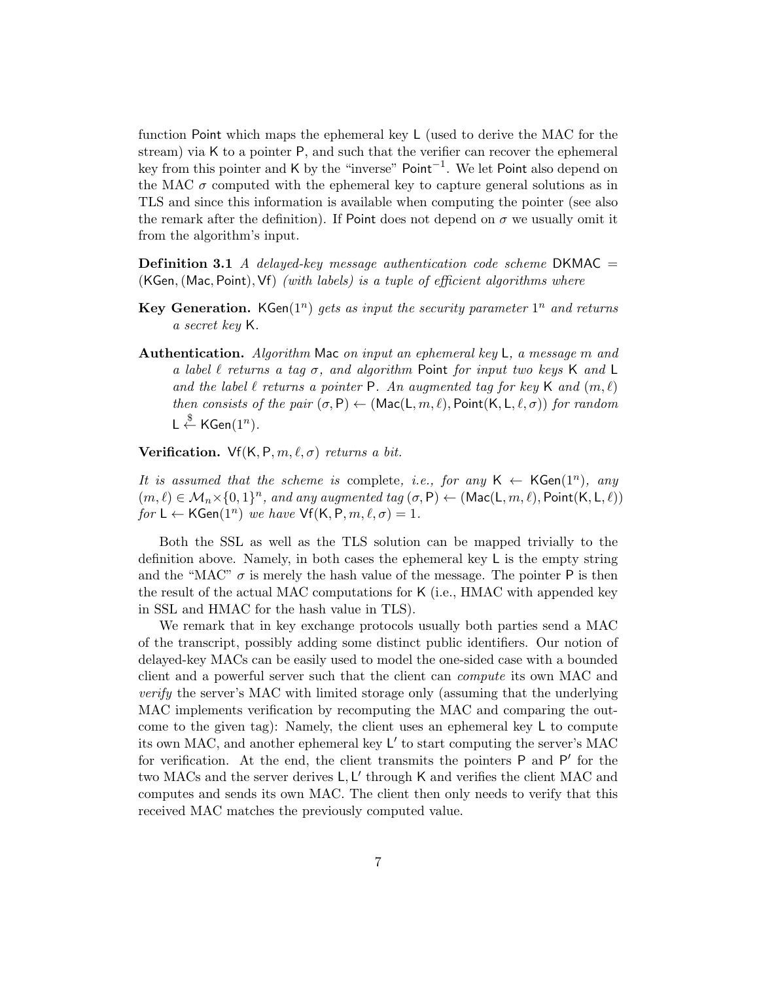function Point which maps the ephemeral key L (used to derive the MAC for the stream) via K to a pointer P, and such that the verifier can recover the ephemeral key from this pointer and K by the "inverse" Point<sup>-1</sup>. We let Point also depend on the MAC  $\sigma$  computed with the ephemeral key to capture general solutions as in TLS and since this information is available when computing the pointer (see also the remark after the definition). If Point does not depend on  $\sigma$  we usually omit it from the algorithm's input.

**Definition 3.1** A delayed-key message authentication code scheme DKMAC  $=$  $(KGen, (Mac, Point), Vf)$  (with labels) is a tuple of efficient algorithms where

- **Key Generation.** KGen( $1<sup>n</sup>$ ) gets as input the security parameter  $1<sup>n</sup>$  and returns a secret key K.
- Authentication. Algorithm Mac on input an ephemeral key  $\mathsf{L}$ , a message m and a label  $\ell$  returns a tag  $\sigma$ , and algorithm Point for input two keys K and L and the label  $\ell$  returns a pointer P. An augmented tag for key K and  $(m, \ell)$ then consists of the pair  $(\sigma, P) \leftarrow (Mac(L, m, \ell), Point(K, L, \ell, \sigma))$  for random  $\mathsf{L} \overset{\$}{\leftarrow} \mathsf{KGen}(1^n).$

Verification. Vf $(K, P, m, \ell, \sigma)$  returns a bit.

It is assumed that the scheme is complete, i.e., for any  $\mathsf{K} \leftarrow \mathsf{KGen}(1^n)$ , any  $(m, \ell) \in \mathcal{M}_n \times \{0, 1\}^n$ , and any augmented tag  $(\sigma, P) \leftarrow (\text{Mac}(L, m, \ell), \text{Point}(K, L, \ell))$ for  $L \leftarrow$  KGen $(1^n)$  we have  $\mathsf{Vf}(\mathsf{K},\mathsf{P},m,\ell,\sigma) = 1$ .

Both the SSL as well as the TLS solution can be mapped trivially to the definition above. Namely, in both cases the ephemeral key L is the empty string and the "MAC"  $\sigma$  is merely the hash value of the message. The pointer P is then the result of the actual MAC computations for K (i.e., HMAC with appended key in SSL and HMAC for the hash value in TLS).

We remark that in key exchange protocols usually both parties send a MAC of the transcript, possibly adding some distinct public identifiers. Our notion of delayed-key MACs can be easily used to model the one-sided case with a bounded client and a powerful server such that the client can compute its own MAC and verify the server's MAC with limited storage only (assuming that the underlying MAC implements verification by recomputing the MAC and comparing the outcome to the given tag): Namely, the client uses an ephemeral key  $\mathsf L$  to compute its own MAC, and another ephemeral key L ′ to start computing the server's MAC for verification. At the end, the client transmits the pointers P and P' for the two MACs and the server derives  $L, L'$  through K and verifies the client MAC and computes and sends its own MAC. The client then only needs to verify that this received MAC matches the previously computed value.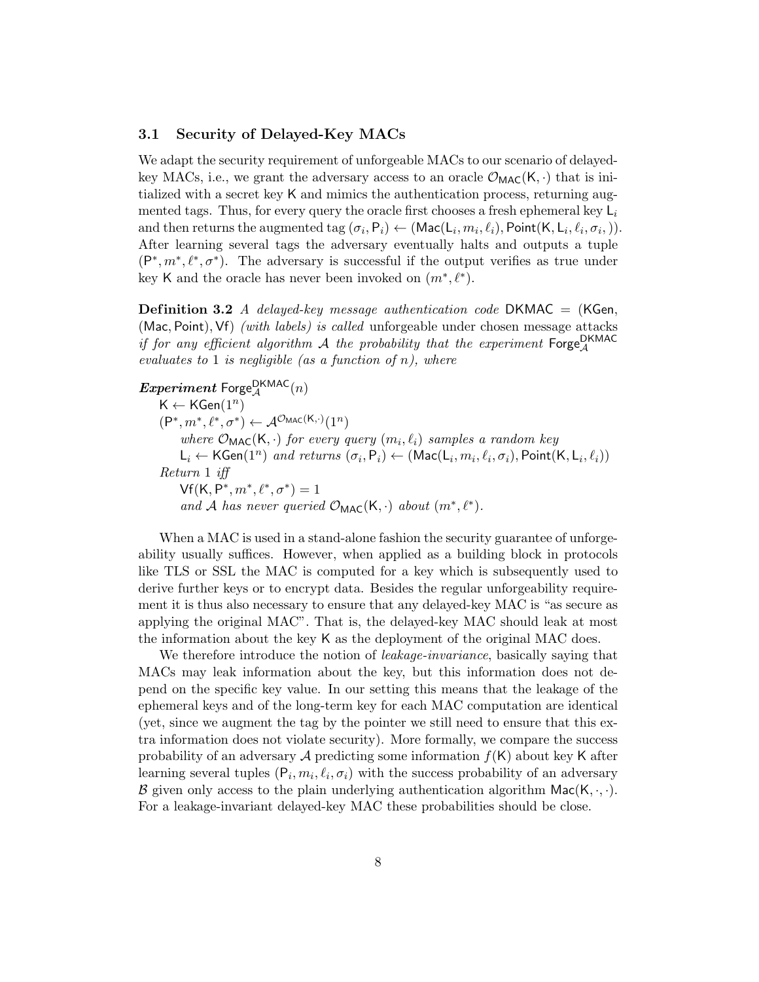#### 3.1 Security of Delayed-Key MACs

We adapt the security requirement of unforgeable MACs to our scenario of delayedkey MACs, i.e., we grant the adversary access to an oracle  $\mathcal{O}_{MAC}(K, \cdot)$  that is initialized with a secret key K and mimics the authentication process, returning augmented tags. Thus, for every query the oracle first chooses a fresh ephemeral key  $L_i$ and then returns the augmented tag  $(\sigma_i, P_i) \leftarrow (\text{Mac}(L_i, m_i, \ell_i), \text{Point}(K, L_i, \ell_i, \sigma_i,.)).$ After learning several tags the adversary eventually halts and outputs a tuple  $(P^*, m^*, \ell^*, \sigma^*)$ . The adversary is successful if the output verifies as true under key K and the oracle has never been invoked on  $(m^*, \ell^*)$ .

**Definition 3.2** A delayed-key message authentication code DKMAC  $=$  (KGen, (Mac, Point), Vf) *(with labels)* is called unforgeable under chosen message attacks if for any efficient algorithm  $\mathcal A$  the probability that the experiment  $\mathsf{Forge}_{\mathcal A}^{\mathsf{DKMAC}}$ evaluates to 1 is negligible (as a function of  $n$ ), where

 $Experiment$   $\text{Forge}_{\mathcal{A}}^{\text{DKMAC}}(n)$  $\mathsf{K} \leftarrow \mathsf{KGen}(1^n)$  $(\mathsf{P}^*, m^*, \ell^*, \sigma^*) \leftarrow \mathcal{A}^{\mathcal{O}_{\mathsf{MAC}}(\mathsf{K}, \cdot)}(1^n)$ where  $\mathcal{O}_{\text{MAC}}(K, \cdot)$  for every query  $(m_i, \ell_i)$  samples a random key  $L_i \leftarrow \mathsf{KGen}(1^n)$  and returns  $(\sigma_i, \mathsf{P}_i) \leftarrow (\mathsf{Mac}(L_i, m_i, \ell_i, \sigma_i), \mathsf{Point}(\mathsf{K}, L_i, \ell_i))$ Return 1 iff  $Vf(K, P^*, m^*, \ell^*, \sigma^*) = 1$ and A has never queried  $\mathcal{O}_{MAC}(K, \cdot)$  about  $(m^*, \ell^*)$ .

When a MAC is used in a stand-alone fashion the security guarantee of unforgeability usually suffices. However, when applied as a building block in protocols like TLS or SSL the MAC is computed for a key which is subsequently used to derive further keys or to encrypt data. Besides the regular unforgeability requirement it is thus also necessary to ensure that any delayed-key MAC is "as secure as applying the original MAC". That is, the delayed-key MAC should leak at most the information about the key K as the deployment of the original MAC does.

We therefore introduce the notion of *leakage-invariance*, basically saying that MACs may leak information about the key, but this information does not depend on the specific key value. In our setting this means that the leakage of the ephemeral keys and of the long-term key for each MAC computation are identical (yet, since we augment the tag by the pointer we still need to ensure that this extra information does not violate security). More formally, we compare the success probability of an adversary  $A$  predicting some information  $f(K)$  about key K after learning several tuples  $(P_i, m_i, \ell_i, \sigma_i)$  with the success probability of an adversary B given only access to the plain underlying authentication algorithm  $Mac(K, \cdot, \cdot)$ . For a leakage-invariant delayed-key MAC these probabilities should be close.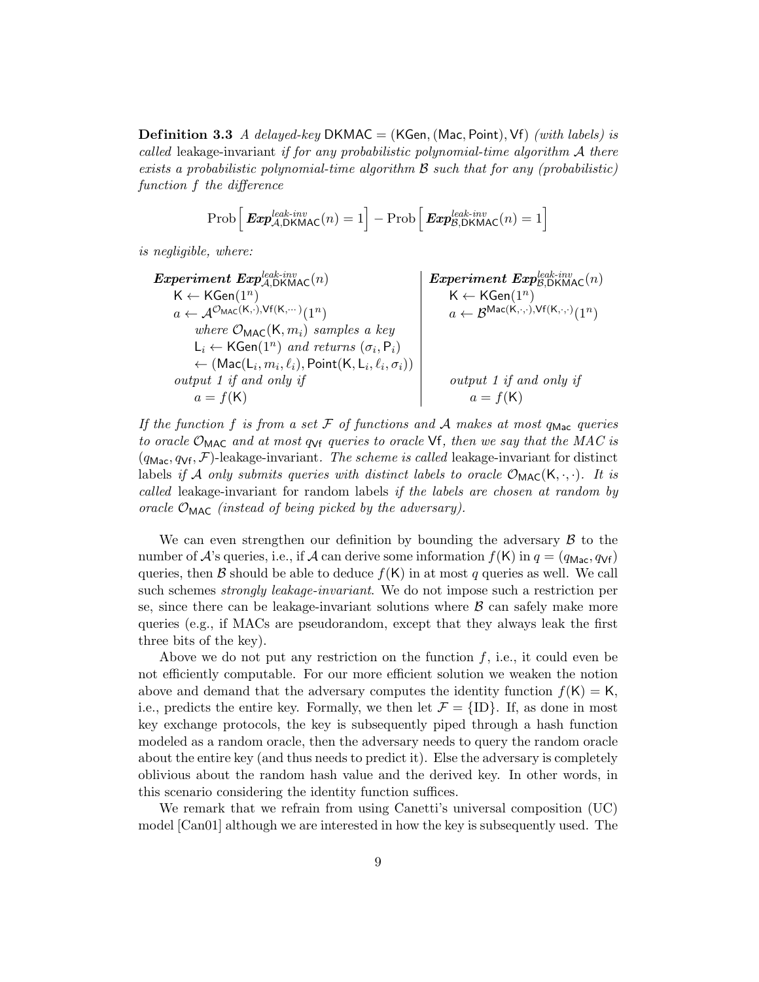**Definition 3.3** A delayed-key DKMAC = (KGen, (Mac, Point), Vf) (with labels) is called leakage-invariant if for any probabilistic polynomial-time algorithm  $A$  there exists a probabilistic polynomial-time algorithm  $\beta$  such that for any (probabilistic) function f the difference

$$
\text{Prob}\left[\text{Exp}_{\mathcal{A},\text{DKMAC}}^{\text{leak-inv}}(n) = 1\right] - \text{Prob}\left[\text{Exp}_{\mathcal{B},\text{DKMAC}}^{\text{leak-inv}}(n) = 1\right]
$$

is negligible, where:

| Experiment                                                                          | Exp <sup>leak-inv</sup>         |
|-------------------------------------------------------------------------------------|---------------------------------|
| $K \leftarrow \text{KGen}(1^n)$                                                     | $K \leftarrow \text{KGen}(1^n)$ |
| $a \leftarrow \mathcal{A}^{O_{MAC}(K, \cdot), Vf(K, \cdots)}(1^n)$                  | $K \leftarrow \text{KGen}(1^n)$ |
| $where$                                                                             | $O_{MAC}(K, m_i)$ samples a key |
| $L_i \leftarrow \text{KGen}(1^n)$ and returns $(\sigma_i, P_i)$                     |                                 |
| $\leftarrow (\text{Mac}(L_i, m_i, \ell_i), \text{Point}(K, L_i, \ell_i, \sigma_i))$ |                                 |
| $output 1$ if and only if                                                           | $output 1$ if and only if       |
| $a = f(K)$                                                                          | $output 1$ if and only if       |

If the function f is from a set  $\mathcal F$  of functions and  $\mathcal A$  makes at most quotage queries to oracle  $\mathcal{O}_{\text{MAC}}$  and at most  $q_{\text{Vf}}$  queries to oracle  $\text{Vf}$ , then we say that the MAC is  $(q_{\text{Mac}}, q_{\text{Vf}}, \mathcal{F})$ -leakage-invariant. The scheme is called leakage-invariant for distinct labels if A only submits queries with distinct labels to oracle  $\mathcal{O}_{\text{MAC}}(K, \cdot, \cdot)$ . It is called leakage-invariant for random labels if the labels are chosen at random by oracle  $\mathcal{O}_{\text{MAC}}$  (instead of being picked by the adversary).

We can even strengthen our definition by bounding the adversary  $\beta$  to the number of A's queries, i.e., if A can derive some information  $f(K)$  in  $q = (q_{\text{Mac}}, q_{\text{Vf}})$ queries, then B should be able to deduce  $f(K)$  in at most q queries as well. We call such schemes *strongly leakage-invariant*. We do not impose such a restriction per se, since there can be leakage-invariant solutions where  $\beta$  can safely make more queries (e.g., if MACs are pseudorandom, except that they always leak the first three bits of the key).

Above we do not put any restriction on the function  $f$ , i.e., it could even be not efficiently computable. For our more efficient solution we weaken the notion above and demand that the adversary computes the identity function  $f(K) = K$ , i.e., predicts the entire key. Formally, we then let  $\mathcal{F} = \{ID\}$ . If, as done in most key exchange protocols, the key is subsequently piped through a hash function modeled as a random oracle, then the adversary needs to query the random oracle about the entire key (and thus needs to predict it). Else the adversary is completely oblivious about the random hash value and the derived key. In other words, in this scenario considering the identity function suffices.

We remark that we refrain from using Canetti's universal composition (UC) model [Can01] although we are interested in how the key is subsequently used. The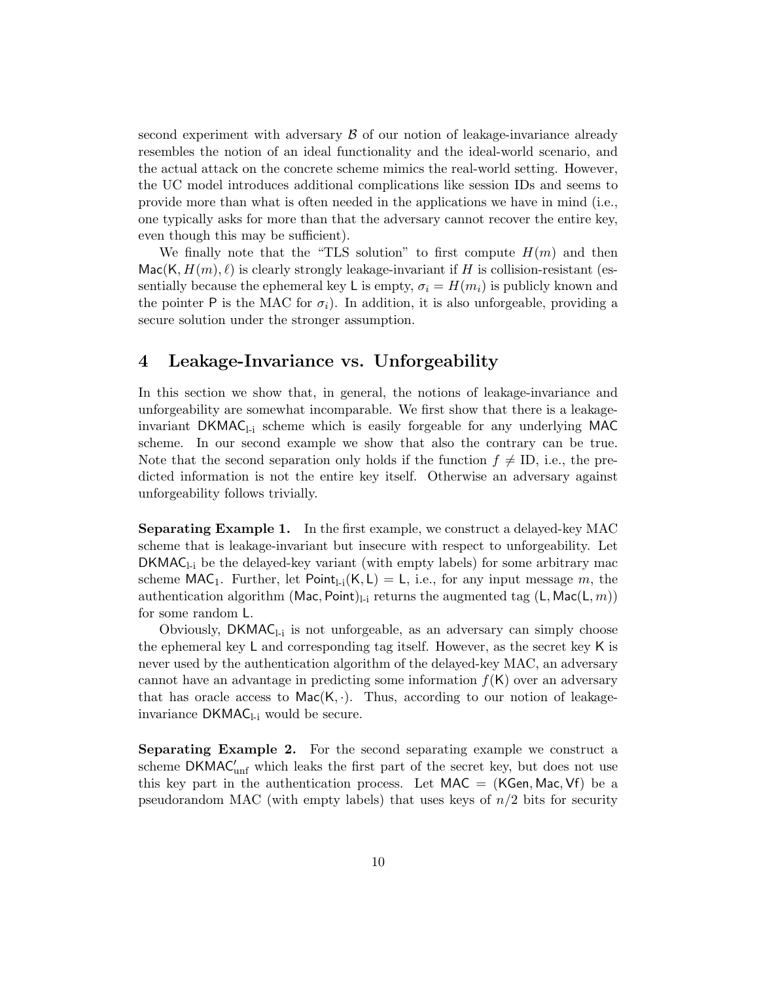second experiment with adversary  $\beta$  of our notion of leakage-invariance already resembles the notion of an ideal functionality and the ideal-world scenario, and the actual attack on the concrete scheme mimics the real-world setting. However, the UC model introduces additional complications like session IDs and seems to provide more than what is often needed in the applications we have in mind (i.e., one typically asks for more than that the adversary cannot recover the entire key, even though this may be sufficient).

We finally note that the "TLS solution" to first compute  $H(m)$  and then  $\textsf{Mac}(K, H(m), \ell)$  is clearly strongly leakage-invariant if H is collision-resistant (essentially because the ephemeral key L is empty,  $\sigma_i = H(m_i)$  is publicly known and the pointer P is the MAC for  $\sigma_i$ ). In addition, it is also unforgeable, providing a secure solution under the stronger assumption.

# 4 Leakage-Invariance vs. Unforgeability

In this section we show that, in general, the notions of leakage-invariance and unforgeability are somewhat incomparable. We first show that there is a leakageinvariant  $DKMAC_{1i}$  scheme which is easily forgeable for any underlying MAC scheme. In our second example we show that also the contrary can be true. Note that the second separation only holds if the function  $f \neq \text{ID}$ , i.e., the predicted information is not the entire key itself. Otherwise an adversary against unforgeability follows trivially.

**Separating Example 1.** In the first example, we construct a delayed-key MAC scheme that is leakage-invariant but insecure with respect to unforgeability. Let  $DKMAC_{1i}$  be the delayed-key variant (with empty labels) for some arbitrary mac scheme MAC<sub>1</sub>. Further, let Point<sub>1-i</sub>(K, L) = L, i.e., for any input message m, the authentication algorithm (Mac, Point)<sub>l-i</sub> returns the augmented tag (L, Mac(L,  $m$ )) for some random L.

Obviously,  $DKMAC_{l-i}$  is not unforgeable, as an adversary can simply choose the ephemeral key  $L$  and corresponding tag itself. However, as the secret key  $K$  is never used by the authentication algorithm of the delayed-key MAC, an adversary cannot have an advantage in predicting some information  $f(K)$  over an adversary that has oracle access to  $Mac(K, \cdot)$ . Thus, according to our notion of leakageinvariance  $DKMAC_{l-i}$  would be secure.

Separating Example 2. For the second separating example we construct a scheme  $DKMAC'_{unf}$  which leaks the first part of the secret key, but does not use this key part in the authentication process. Let  $MAC = (KGen, Mac, Vf)$  be a pseudorandom MAC (with empty labels) that uses keys of  $n/2$  bits for security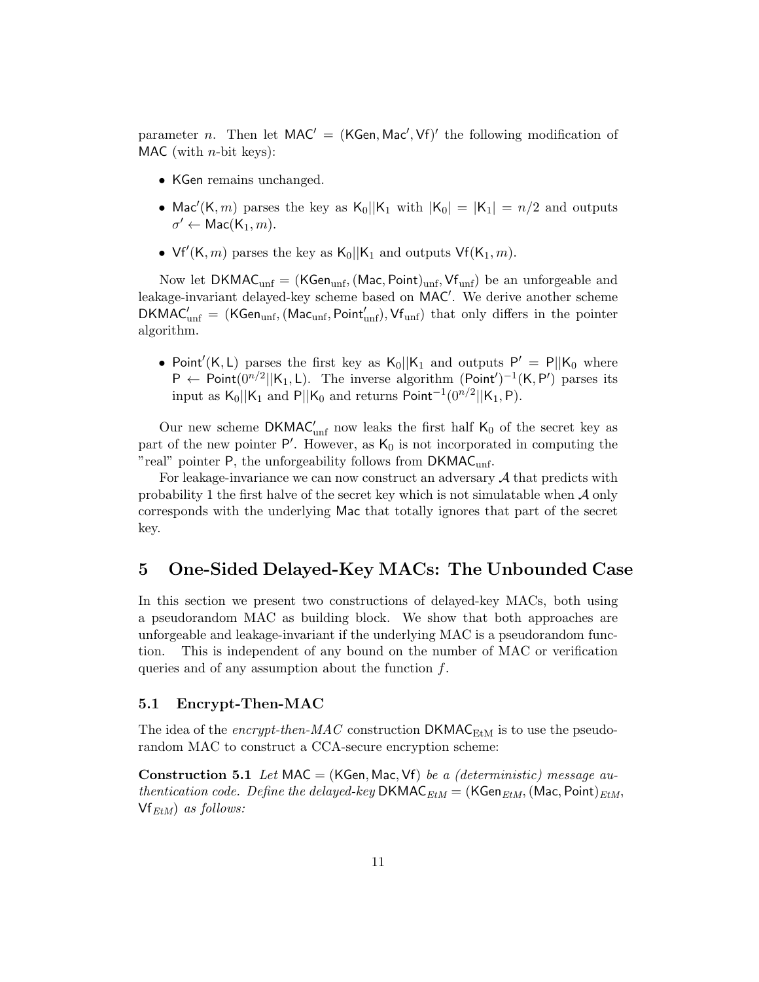parameter *n*. Then let  $MAC' = (KGen, Mac', Vf)'$  the following modification of MAC (with  $n$ -bit keys):

- ∙ KGen remains unchanged.
- Mac'(K, m) parses the key as K<sub>0</sub>||K<sub>1</sub> with  $|K_0| = |K_1| = n/2$  and outputs  $\sigma' \leftarrow \mathsf{Mac}(\mathsf{K}_1, m).$
- Vf'(K, m) parses the key as  $K_0$ ||K<sub>1</sub> and outputs Vf(K<sub>1</sub>, m).

Now let  $DKMAC_{unf} = (KGen_{unf}, (Mac, Point)_{unf}, Vf_{unf})$  be an unforgeable and leakage-invariant delayed-key scheme based on MAC′ . We derive another scheme  $DKMAC'_{unf}$  = (KGen<sub>unf</sub>, (Mac<sub>unf</sub>, Point'<sub>unf</sub>), Vf<sub>unf</sub>) that only differs in the pointer algorithm.

• Point'(K, L) parses the first key as  $K_0||K_1$  and outputs  $P' = P||K_0$  where  $P \leftarrow$  Point $(0^{n/2}||K_1, L)$ . The inverse algorithm  $(Point')^{-1}(K, P')$  parses its input as K<sub>0</sub>||K<sub>1</sub> and P||K<sub>0</sub> and returns Point<sup>-1</sup>(0<sup>n/2</sup>||K<sub>1</sub>, P).

Our new scheme  $DKMAC'_{unf}$  now leaks the first half  $K_0$  of the secret key as part of the new pointer  $P'$ . However, as  $K_0$  is not incorporated in computing the "real" pointer  $P$ , the unforgeability follows from  $DKMAC_{unf}$ .

For leakage-invariance we can now construct an adversary  $A$  that predicts with probability 1 the first halve of the secret key which is not simulatable when  $\mathcal A$  only corresponds with the underlying Mac that totally ignores that part of the secret key.

# 5 One-Sided Delayed-Key MACs: The Unbounded Case

In this section we present two constructions of delayed-key MACs, both using a pseudorandom MAC as building block. We show that both approaches are unforgeable and leakage-invariant if the underlying MAC is a pseudorandom function. This is independent of any bound on the number of MAC or verification queries and of any assumption about the function  $f$ .

#### 5.1 Encrypt-Then-MAC

The idea of the encrypt-then-MAC construction  $\text{DKMAC}_{\text{EtM}}$  is to use the pseudorandom MAC to construct a CCA-secure encryption scheme:

**Construction 5.1** Let MAC = (KGen, Mac, Vf) be a (deterministic) message authentication code. Define the delayed-key DKMAC $_{EtM}$  = (KGen $_{EtM}$ , (Mac, Point) $_{EtM}$ ,  $Vf_{EtM}$ ) as follows: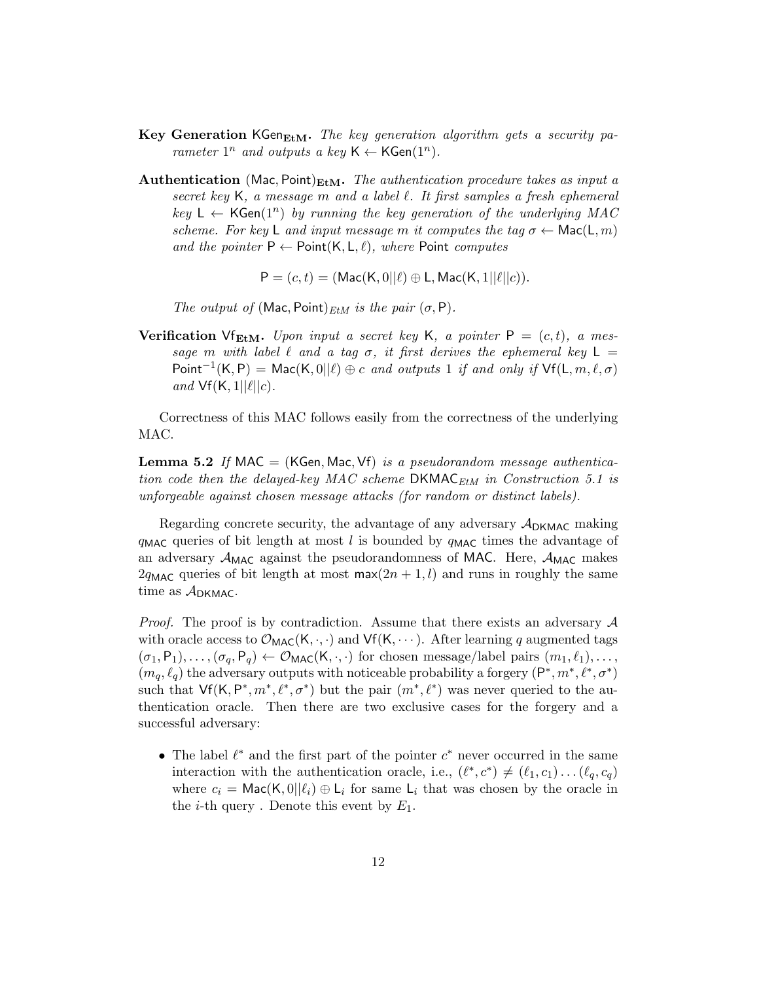- Key Generation KGen $_{\text{EtM}}$ . The key generation algorithm gets a security parameter  $1^n$  and outputs a key  $\mathsf{K} \leftarrow \mathsf{KGen}(1^n)$ .
- **Authentication** (Mac, Point) $_{\text{EtM}}$ . The authentication procedure takes as input a secret key  $K$ , a message  $m$  and a label  $\ell$ . It first samples a fresh ephemeral key  $L \leftarrow \mathsf{KGen}(1^n)$  by running the key generation of the underlying MAC scheme. For key L and input message m it computes the tag  $\sigma \leftarrow \text{Mac}(L, m)$ and the pointer  $P \leftarrow$  Point $(K, L, \ell)$ , where Point computes

 $P = (c, t) = (Mac(K, 0) | \ell) \oplus L$ , Mac $(K, 1 | \ell | | c)$ ).

The output of (Mac, Point) $_{EtM}$  is the pair  $(\sigma, P)$ .

**Verification** Vf<sub>EtM</sub>. Upon input a secret key K, a pointer  $P = (c, t)$ , a message m with label  $\ell$  and a tag  $\sigma$ , it first derives the ephemeral key  $\mathsf{L} =$ Point<sup>-1</sup>(K, P) = Mac(K, 0|| $\ell$ )  $\oplus$  c and outputs 1 if and only if Vf(L,  $m, \ell, \sigma$ ) and  $Vf(K, 1||\ell||c)$ .

Correctness of this MAC follows easily from the correctness of the underlying MAC.

**Lemma 5.2** If MAC = (KGen, Mac, Vf) is a pseudorandom message authentication code then the delayed-key MAC scheme  $DKMAC_{EtM}$  in Construction 5.1 is unforgeable against chosen message attacks (for random or distinct labels).

Regarding concrete security, the advantage of any adversary  $A_{DKMAC}$  making  $q_{\text{MAC}}$  queries of bit length at most l is bounded by  $q_{\text{MAC}}$  times the advantage of an adversary  $\mathcal{A}_{\text{MAC}}$  against the pseudorandomness of MAC. Here,  $\mathcal{A}_{\text{MAC}}$  makes  $2q_{\text{MAC}}$  queries of bit length at most max $(2n + 1, l)$  and runs in roughly the same time as  $A_{DKMAC}$ .

*Proof.* The proof is by contradiction. Assume that there exists an adversary  $\mathcal A$ with oracle access to  $\mathcal{O}_{MAC}(K, \cdot, \cdot)$  and  $Vf(K, \dots)$ . After learning q augmented tags  $(\sigma_1, P_1), \ldots, (\sigma_q, P_q) \leftarrow \mathcal{O}_{\text{MAC}}(K, \cdot, \cdot)$  for chosen message/label pairs  $(m_1, \ell_1), \ldots,$  $(m_q, \ell_q)$  the adversary outputs with noticeable probability a forgery  $(P^*, m^*, \ell^*, \sigma^*)$ such that  $\mathsf{Vf}(\mathsf{K}, \mathsf{P}^*, m^*, \ell^*, \sigma^*)$  but the pair  $(m^*, \ell^*)$  was never queried to the authentication oracle. Then there are two exclusive cases for the forgery and a successful adversary:

• The label  $\ell^*$  and the first part of the pointer  $c^*$  never occurred in the same interaction with the authentication oracle, i.e.,  $(\ell^*, c^*) \neq (\ell_1, c_1) \dots (\ell_q, c_q)$ where  $c_i = \text{Mac}(K, 0||\ell_i) \oplus L_i$  for same  $L_i$  that was chosen by the oracle in the *i*-th query. Denote this event by  $E_1$ .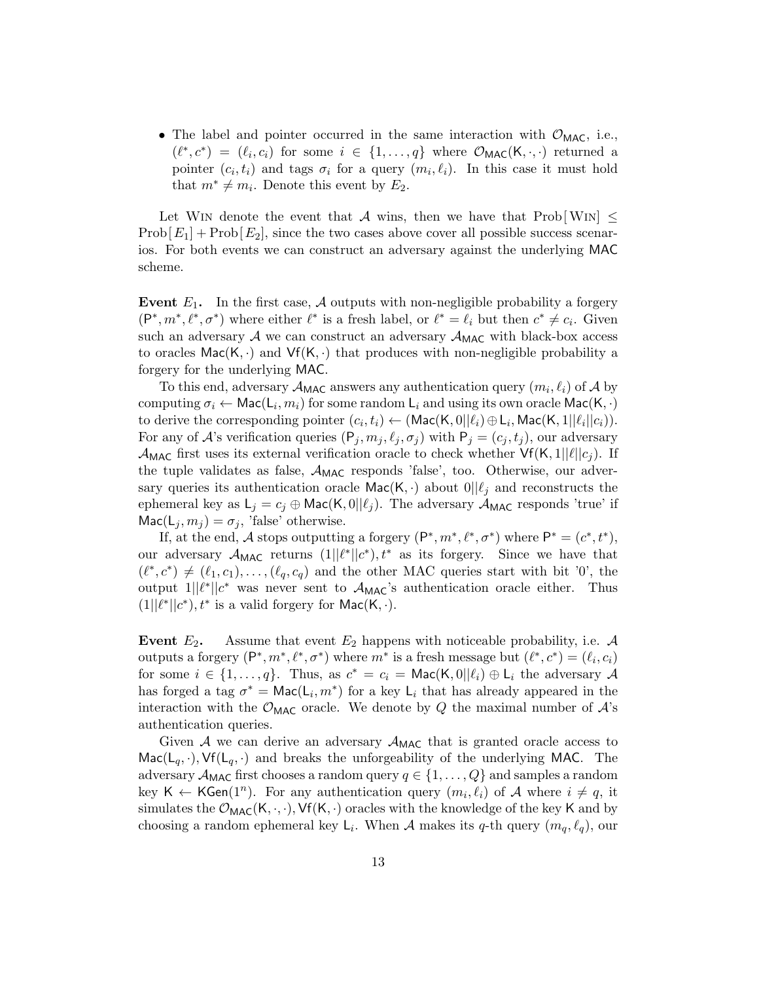• The label and pointer occurred in the same interaction with  $\mathcal{O}_{\text{MAC}}$ , i.e.,  $(\ell^*, c^*) = (\ell_i, c_i)$  for some  $i \in \{1, ..., q\}$  where  $\mathcal{O}_{\text{MAC}}(K, \cdot, \cdot)$  returned a pointer  $(c_i, t_i)$  and tags  $\sigma_i$  for a query  $(m_i, \ell_i)$ . In this case it must hold that  $m^* \neq m_i$ . Denote this event by  $E_2$ .

Let WIN denote the event that A wins, then we have that  $\text{Prob}[\text{Win}] \leq$  $\text{Prob}[E_1] + \text{Prob}[E_2]$ , since the two cases above cover all possible success scenarios. For both events we can construct an adversary against the underlying MAC scheme.

Event  $E_1$ . In the first case,  $\mathcal A$  outputs with non-negligible probability a forgery  $(P^*, m^*, \ell^*, \sigma^*)$  where either  $\ell^*$  is a fresh label, or  $\ell^* = \ell_i$  but then  $c^* \neq c_i$ . Given such an adversary  $A$  we can construct an adversary  $A_{MAC}$  with black-box access to oracles  $\textsf{Mac}(K, \cdot)$  and  $\textsf{Vf}(K, \cdot)$  that produces with non-negligible probability a forgery for the underlying MAC.

To this end, adversary  $\mathcal{A}_{\text{MAC}}$  answers any authentication query  $(m_i, \ell_i)$  of  $\mathcal{A}$  by computing  $\sigma_i \leftarrow \mathsf{Mac}(L_i, m_i)$  for some random  $L_i$  and using its own oracle  $\mathsf{Mac}(K, \cdot)$ to derive the corresponding pointer  $(c_i, t_i) \leftarrow (\mathsf{Mac}(\mathsf{K}, 0||\ell_i) \oplus \mathsf{L}_i, \mathsf{Mac}(\mathsf{K}, 1||\ell_i||c_i)).$ For any of A's verification queries  $(P_j, m_j, \ell_j, \sigma_j)$  with  $P_j = (c_j, t_j)$ , our adversary  $\mathcal{A}_{\text{MAC}}$  first uses its external verification oracle to check whether  $\mathsf{Vf}(\mathsf{K}, 1||\ell||c_j)$ . If the tuple validates as false,  $\mathcal{A}_{MAC}$  responds 'false', too. Otherwise, our adversary queries its authentication oracle Mac(K, ·) about  $0||\ell_j$  and reconstructs the ephemeral key as  $L_j = c_j \oplus \text{Mac}(K, 0||\ell_j)$ . The adversary  $\mathcal{A}_{MAC}$  responds 'true' if  $\textsf{Mac}(L_i, m_i) = \sigma_i$ , 'false' otherwise.

If, at the end, A stops outputting a forgery  $(P^*, m^*, \ell^*, \sigma^*)$  where  $P^* = (c^*, t^*)$ , our adversary  $\mathcal{A}_{MAC}$  returns  $(1||\ell^*||c^*)$ ,  $t^*$  as its forgery. Since we have that  $(\ell^*, c^*) \neq (\ell_1, c_1), \ldots, (\ell_q, c_q)$  and the other MAC queries start with bit '0', the output  $1||\ell^*||c^*$  was never sent to  $\mathcal{A}_{MAC}$ 's authentication oracle either. Thus  $(1||\ell^*||c^*), t^*$  is a valid forgery for Mac $(K, \cdot)$ .

Event  $E_2$ . Assume that event  $E_2$  happens with noticeable probability, i.e.  $\mathcal A$ outputs a forgery  $(P^*, m^*, \ell^*, \sigma^*)$  where  $m^*$  is a fresh message but  $(\ell^*, c^*) = (\ell_i, c_i)$ for some  $i \in \{1, ..., q\}$ . Thus, as  $c^* = c_i = \text{Mac}(K, 0||\ell_i) \oplus L_i$  the adversary  $\mathcal A$ has forged a tag  $\sigma^* = \text{Mac}(L_i, m^*)$  for a key  $L_i$  that has already appeared in the interaction with the  $\mathcal{O}_{\text{MAC}}$  oracle. We denote by Q the maximal number of  $\mathcal{A}$ 's authentication queries.

Given  $A$  we can derive an adversary  $A_{MAC}$  that is granted oracle access to  $\text{Mac}(L_q, \cdot), \text{Vf}(L_q, \cdot)$  and breaks the unforgeability of the underlying MAC. The adversary  $\mathcal{A}_{\text{MAC}}$  first chooses a random query  $q \in \{1, \ldots, Q\}$  and samples a random key K  $\leftarrow$  KGen(1<sup>n</sup>). For any authentication query  $(m_i, \ell_i)$  of A where  $i \neq q$ , it simulates the  $\mathcal{O}_{MAC}(K, \cdot, \cdot)$ ,  $Vf(K, \cdot)$  oracles with the knowledge of the key K and by choosing a random ephemeral key  $\mathsf{L}_i$ . When A makes its q-th query  $(m_q, \ell_q)$ , our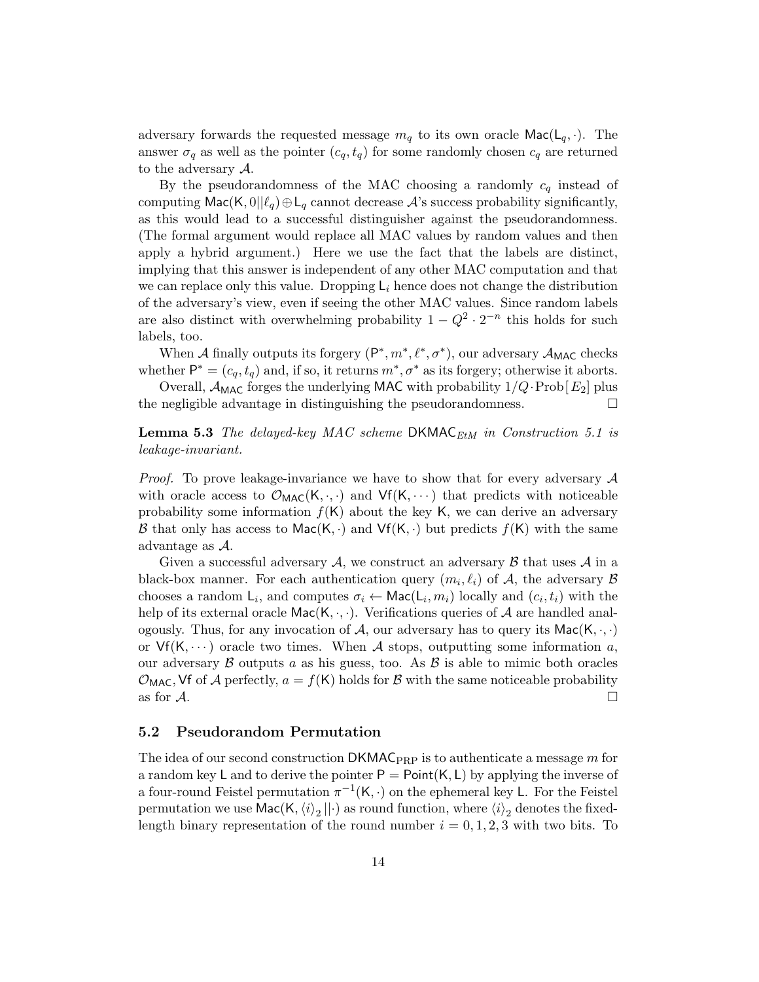adversary forwards the requested message  $m_q$  to its own oracle  $\textsf{Mac}(L_q, \cdot)$ . The answer  $\sigma_q$  as well as the pointer  $(c_q, t_q)$  for some randomly chosen  $c_q$  are returned to the adversary  $A$ .

By the pseudorandomness of the MAC choosing a randomly  $c_q$  instead of computing Mac(K,  $0|\ell_q\rangle \oplus L_q$  cannot decrease  $\mathcal A$ 's success probability significantly, as this would lead to a successful distinguisher against the pseudorandomness. (The formal argument would replace all MAC values by random values and then apply a hybrid argument.) Here we use the fact that the labels are distinct, implying that this answer is independent of any other MAC computation and that we can replace only this value. Dropping  $L_i$  hence does not change the distribution of the adversary's view, even if seeing the other MAC values. Since random labels are also distinct with overwhelming probability  $1 - Q^2 \cdot 2^{-n}$  this holds for such labels, too.

When A finally outputs its forgery  $(P^*, m^*, \ell^*, \sigma^*)$ , our adversary  $\mathcal{A}_{MAC}$  checks whether  $P^* = (c_q, t_q)$  and, if so, it returns  $m^*, \sigma^*$  as its forgery; otherwise it aborts.

Overall,  $\mathcal{A}_{\text{MAC}}$  forges the underlying MAC with probability  $1/Q \cdot \text{Prob}[E_2]$  plus the negligible advantage in distinguishing the pseudorandomness.  $\Box$ 

**Lemma 5.3** The delayed-key MAC scheme DKMAC<sub>EtM</sub> in Construction 5.1 is leakage-invariant.

*Proof.* To prove leakage-invariance we have to show that for every adversary  $\mathcal A$ with oracle access to  $\mathcal{O}_{MAC}(K, \cdot, \cdot)$  and  $Vf(K, \cdot\cdot\cdot)$  that predicts with noticeable probability some information  $f(K)$  about the key K, we can derive an adversary B that only has access to Mac(K, ·) and  $Vf(K, \cdot)$  but predicts  $f(K)$  with the same advantage as  $A$ .

Given a successful adversary  $\mathcal{A}$ , we construct an adversary  $\mathcal{B}$  that uses  $\mathcal{A}$  in a black-box manner. For each authentication query  $(m_i, \ell_i)$  of A, the adversary  $\beta$ chooses a random  $\mathsf{L}_i$ , and computes  $\sigma_i \leftarrow \mathsf{Mac}(\mathsf{L}_i, m_i)$  locally and  $(c_i, t_i)$  with the help of its external oracle  $\textsf{Mac}(K, \cdot, \cdot)$ . Verifications queries of A are handled analogously. Thus, for any invocation of A, our adversary has to query its  $\textsf{Mac}(K, \cdot, \cdot)$ or  $Vf(K, \dots)$  oracle two times. When A stops, outputting some information a, our adversary  $\beta$  outputs a as his guess, too. As  $\beta$  is able to mimic both oracles  $\mathcal{O}_{\text{MAC}}$ , Vf of A perfectly,  $a = f(K)$  holds for B with the same noticeable probability as for  $\mathcal A$ .

#### 5.2 Pseudorandom Permutation

The idea of our second construction  $DKMAC_{PRP}$  is to authenticate a message m for a random key L and to derive the pointer  $P = Point(K, L)$  by applying the inverse of a four-round Feistel permutation  $\pi^{-1}(K, \cdot)$  on the ephemeral key L. For the Feistel permutation we use  $\mathsf{Mac}(K, \braket{i}_2 || \cdot)$  as round function, where  $\braket{i}_2$  denotes the fixedlength binary representation of the round number  $i = 0, 1, 2, 3$  with two bits. To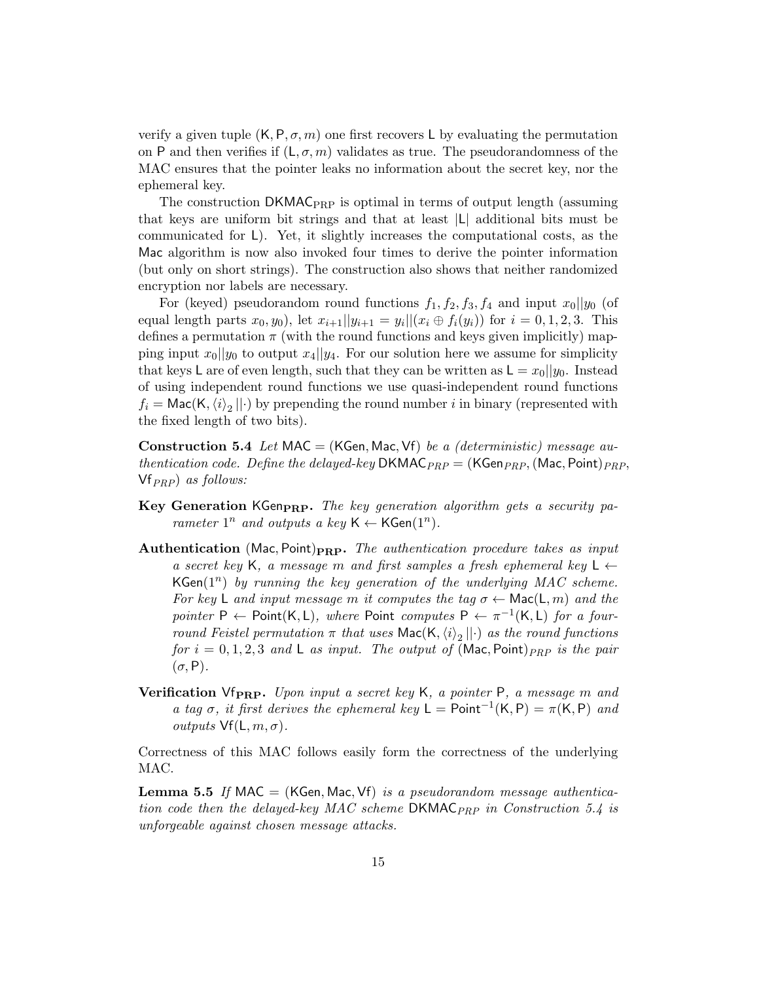verify a given tuple  $(K, P, \sigma, m)$  one first recovers L by evaluating the permutation on P and then verifies if  $(L, \sigma, m)$  validates as true. The pseudorandomness of the MAC ensures that the pointer leaks no information about the secret key, nor the ephemeral key.

The construction  $DKMAC_{PRP}$  is optimal in terms of output length (assuming that keys are uniform bit strings and that at least ∣L∣ additional bits must be communicated for L). Yet, it slightly increases the computational costs, as the Mac algorithm is now also invoked four times to derive the pointer information (but only on short strings). The construction also shows that neither randomized encryption nor labels are necessary.

For (keyed) pseudorandom round functions  $f_1, f_2, f_3, f_4$  and input  $x_0||y_0$  (of equal length parts  $x_0, y_0$ , let  $x_{i+1}||y_{i+1} = y_i|| (x_i \oplus f_i(y_i))$  for  $i = 0, 1, 2, 3$ . This defines a permutation  $\pi$  (with the round functions and keys given implicitly) mapping input  $x_0||y_0$  to output  $x_4||y_4$ . For our solution here we assume for simplicity that keys L are of even length, such that they can be written as  $L = x_0||y_0$ . Instead of using independent round functions we use quasi-independent round functions  $f_i = \text{Mac}(K, \langle i \rangle_2 || \cdot)$  by prepending the round number  $i$  in binary (represented with the fixed length of two bits).

**Construction 5.4** Let MAC = (KGen, Mac, Vf) be a (deterministic) message authentication code. Define the delayed-key DKMAC<sub>PRP</sub> = (KGen<sub>PRP</sub>, (Mac, Point)<sub>PRP</sub>,  $Vf_{PRP}$ ) as follows:

- Key Generation KGenpRP. The key generation algorithm gets a security parameter  $1^n$  and outputs a key  $\mathsf{K} \leftarrow \mathsf{KGen}(1^n)$ .
- **Authentication** (Mac, Point) $_{\text{PRP}}$ . The authentication procedure takes as input a secret key K, a message m and first samples a fresh ephemeral key L  $\leftarrow$ KGen( $1^n$ ) by running the key generation of the underlying MAC scheme. For key L and input message m it computes the tag  $\sigma \leftarrow \text{Mac}(L, m)$  and the pointer P  $\leftarrow$  Point(K, L), where Point computes P  $\leftarrow \pi^{-1}(\mathsf{K}, \mathsf{L})$  for a fourround Feistel permutation  $\pi$  that uses Mac(K, $\langle i \rangle_2 || \cdot$ ) as the round functions for  $i = 0, 1, 2, 3$  and L as input. The output of (Mac, Point)  $_{PRP}$  is the pair  $(\sigma, P)$ .
- **Verification** Vf<sub>PRP</sub>. Upon input a secret key K, a pointer P, a message m and a tag  $\sigma$ , it first derives the ephemeral key L = Point<sup>-1</sup>(K, P) =  $\pi$ (K, P) and *outputs*  $Vf(L, m, \sigma)$ .

Correctness of this MAC follows easily form the correctness of the underlying MAC.

**Lemma 5.5** If MAC = (KGen, Mac, Vf) is a pseudorandom message authentication code then the delayed-key MAC scheme  $DKMAC_{PRP}$  in Construction 5.4 is unforgeable against chosen message attacks.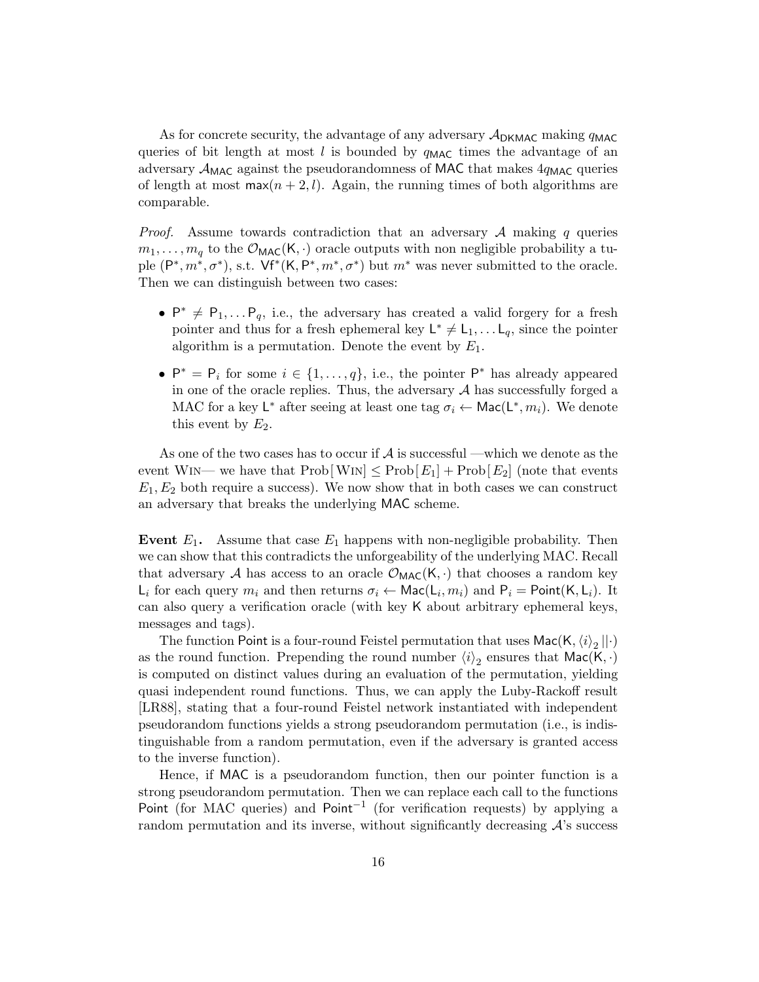As for concrete security, the advantage of any adversary  $A_{\text{DKMAC}}$  making  $q_{\text{MAC}}$ queries of bit length at most l is bounded by  $q_{\text{MAC}}$  times the advantage of an adversary  $\mathcal{A}_{MAC}$  against the pseudorandomness of MAC that makes  $4q_{MAC}$  queries of length at most  $\max(n+2, l)$ . Again, the running times of both algorithms are comparable.

*Proof.* Assume towards contradiction that an adversary  $\mathcal A$  making  $q$  queries  $m_1, \ldots, m_q$  to the  $\mathcal{O}_{\text{MAC}}(K, \cdot)$  oracle outputs with non negligible probability a tuple  $(P^*, m^*, \sigma^*)$ , s.t.  $Vf^*(K, P^*, m^*, \sigma^*)$  but  $m^*$  was never submitted to the oracle. Then we can distinguish between two cases:

- $P^* \neq P_1, \ldots, P_q$ , i.e., the adversary has created a valid forgery for a fresh pointer and thus for a fresh ephemeral key  $L^* \neq L_1, \ldots, L_q$ , since the pointer algorithm is a permutation. Denote the event by  $E_1$ .
- $P^* = P_i$  for some  $i \in \{1, ..., q\}$ , i.e., the pointer  $P^*$  has already appeared in one of the oracle replies. Thus, the adversary  $A$  has successfully forged a MAC for a key  $\mathsf{L}^*$  after seeing at least one tag  $\sigma_i \leftarrow \mathsf{Mac}(\mathsf{L}^*, m_i)$ . We denote this event by  $E_2$ .

As one of the two cases has to occur if  $A$  is successful —which we denote as the event WIN— we have that  $\text{Prob}[W_{1N}] \leq \text{Prob}[E_1] + \text{Prob}[E_2]$  (note that events  $E_1, E_2$  both require a success). We now show that in both cases we can construct an adversary that breaks the underlying MAC scheme.

**Event**  $E_1$ . Assume that case  $E_1$  happens with non-negligible probability. Then we can show that this contradicts the unforgeability of the underlying MAC. Recall that adversary  $A$  has access to an oracle  $\mathcal{O}_{MAC}(K, \cdot)$  that chooses a random key  $\mathsf{L}_i$  for each query  $m_i$  and then returns  $\sigma_i \leftarrow \mathsf{Mac}(\mathsf{L}_i, m_i)$  and  $\mathsf{P}_i = \mathsf{Point}(\mathsf{K}, \mathsf{L}_i)$ . It can also query a verification oracle (with key K about arbitrary ephemeral keys, messages and tags).

The function Point is a four-round Feistel permutation that uses  $\mathsf{Mac}(K, \langle i \rangle_2 || \cdot)$ as the round function. Prepending the round number  $\langle i \rangle_2$  ensures that  $\textsf{Mac}(K, \cdot)$ is computed on distinct values during an evaluation of the permutation, yielding quasi independent round functions. Thus, we can apply the Luby-Rackoff result [LR88], stating that a four-round Feistel network instantiated with independent pseudorandom functions yields a strong pseudorandom permutation (i.e., is indistinguishable from a random permutation, even if the adversary is granted access to the inverse function).

Hence, if MAC is a pseudorandom function, then our pointer function is a strong pseudorandom permutation. Then we can replace each call to the functions Point (for MAC queries) and Point<sup>-1</sup> (for verification requests) by applying a random permutation and its inverse, without significantly decreasing  $\mathcal{A}'$ 's success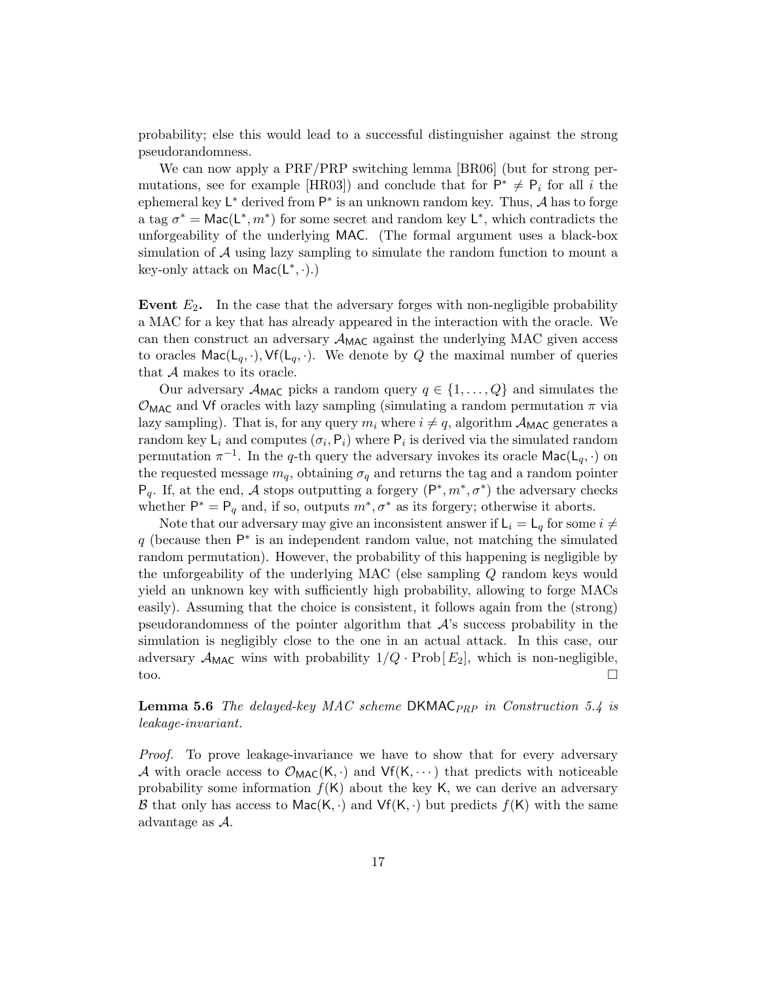probability; else this would lead to a successful distinguisher against the strong pseudorandomness.

We can now apply a PRF/PRP switching lemma [BR06] (but for strong permutations, see for example [HR03]) and conclude that for  $\mathsf{P}^* \neq \mathsf{P}_i$  for all i the ephemeral key  $\mathsf{L}^*$  derived from  $\mathsf{P}^*$  is an unknown random key. Thus, A has to forge a tag  $\sigma^* = \text{Mac}(L^*, m^*)$  for some secret and random key  $L^*$ , which contradicts the unforgeability of the underlying MAC. (The formal argument uses a black-box simulation of  $A$  using lazy sampling to simulate the random function to mount a key-only attack on  $Mac(L^*, \cdot)$ .

Event  $E_2$ . In the case that the adversary forges with non-negligible probability a MAC for a key that has already appeared in the interaction with the oracle. We can then construct an adversary  $\mathcal{A}_{MAC}$  against the underlying MAC given access to oracles  $\textsf{Mac}(L_q, \cdot), \textsf{Vf}(L_q, \cdot)$ . We denote by Q the maximal number of queries that  $A$  makes to its oracle.

Our adversary  $A_{\text{MAC}}$  picks a random query  $q \in \{1, \ldots, Q\}$  and simulates the  $\mathcal{O}_{\text{MAC}}$  and Vf oracles with lazy sampling (simulating a random permutation  $\pi$  via lazy sampling). That is, for any query  $m_i$  where  $i \neq q$ , algorithm  $A_{\text{MAC}}$  generates a random key  $\mathsf{L}_i$  and computes  $(\sigma_i, \mathsf{P}_i)$  where  $\mathsf{P}_i$  is derived via the simulated random permutation  $\pi^{-1}$ . In the q-th query the adversary invokes its oracle  $\textsf{Mac}(L_q, \cdot)$  on the requested message  $m_q$ , obtaining  $\sigma_q$  and returns the tag and a random pointer  $P_q$ . If, at the end, A stops outputting a forgery  $(P^*, m^*, \sigma^*)$  the adversary checks whether  $P^* = P_q$  and, if so, outputs  $m^*, \sigma^*$  as its forgery; otherwise it aborts.

Note that our adversary may give an inconsistent answer if  $\mathsf{L}_i = \mathsf{L}_q$  for some  $i \neq$  $q$  (because then  $\mathsf{P}^*$  is an independent random value, not matching the simulated random permutation). However, the probability of this happening is negligible by the unforgeability of the underlying MAC (else sampling  $Q$  random keys would yield an unknown key with sufficiently high probability, allowing to forge MACs easily). Assuming that the choice is consistent, it follows again from the (strong) pseudorandomness of the pointer algorithm that  $A$ 's success probability in the simulation is negligibly close to the one in an actual attack. In this case, our adversary  $\mathcal{A}_{\text{MAC}}$  wins with probability  $1/Q \cdot \text{Prob}[E_2]$ , which is non-negligible, too.  $\square$ 

#### **Lemma 5.6** The delayed-key MAC scheme DKMAC<sub>PRP</sub> in Construction 5.4 is leakage-invariant.

Proof. To prove leakage-invariance we have to show that for every adversary A with oracle access to  $\mathcal{O}_{MAC}(K, \cdot)$  and  $Vf(K, \cdots)$  that predicts with noticeable probability some information  $f(K)$  about the key K, we can derive an adversary B that only has access to Mac(K, ·) and  $Vf(K, \cdot)$  but predicts  $f(K)$  with the same advantage as  $A$ .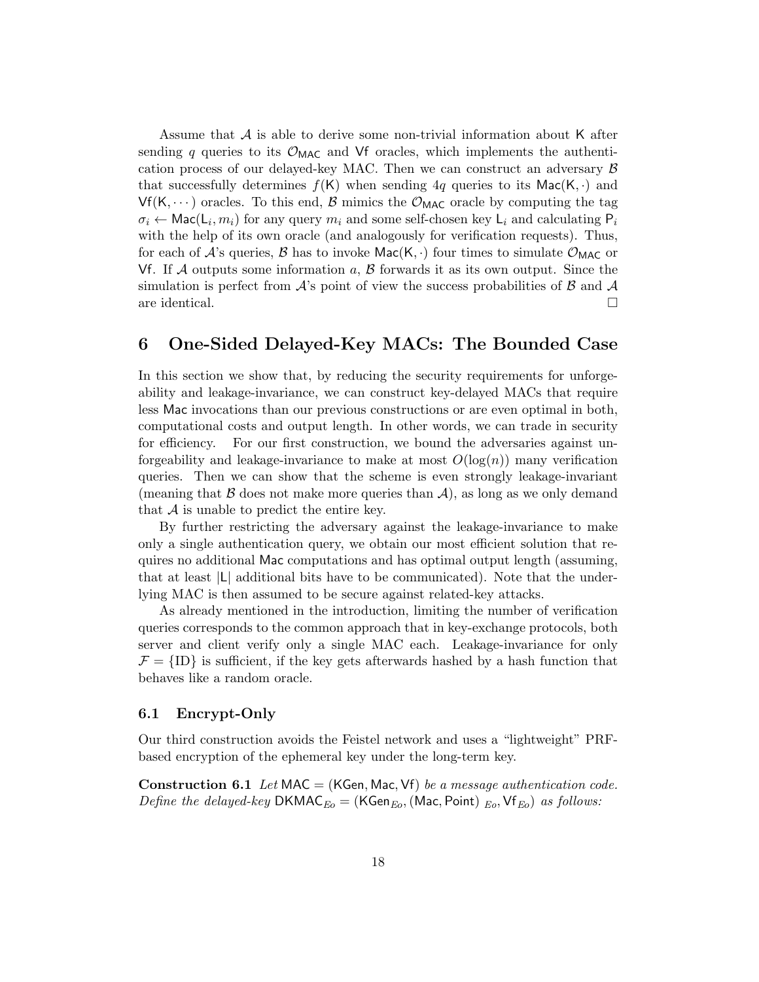Assume that  $A$  is able to derive some non-trivial information about K after sending q queries to its  $\mathcal{O}_{\text{MAC}}$  and Vf oracles, which implements the authentication process of our delayed-key MAC. Then we can construct an adversary  $\beta$ that successfully determines  $f(K)$  when sending 4q queries to its Mac(K, ⋅) and  $Vf(K, \dots)$  oracles. To this end, B mimics the  $\mathcal{O}_{MAC}$  oracle by computing the tag  $\sigma_i \leftarrow \mathsf{Mac}(L_i, m_i)$  for any query  $m_i$  and some self-chosen key  $L_i$  and calculating  $P_i$ with the help of its own oracle (and analogously for verification requests). Thus, for each of  $\mathcal{A}$ 's queries,  $\mathcal{B}$  has to invoke  $\textsf{Mac}(K, \cdot)$  four times to simulate  $\mathcal{O}_{\textsf{MAC}}$  or Vf. If  $\mathcal A$  outputs some information  $a, \mathcal B$  forwards it as its own output. Since the simulation is perfect from  $\mathcal{A}'$ 's point of view the success probabilities of  $\mathcal{B}$  and  $\mathcal{A}$ are identical. □

# 6 One-Sided Delayed-Key MACs: The Bounded Case

In this section we show that, by reducing the security requirements for unforgeability and leakage-invariance, we can construct key-delayed MACs that require less Mac invocations than our previous constructions or are even optimal in both, computational costs and output length. In other words, we can trade in security for efficiency. For our first construction, we bound the adversaries against unforgeability and leakage-invariance to make at most  $O(\log(n))$  many verification queries. Then we can show that the scheme is even strongly leakage-invariant (meaning that  $\beta$  does not make more queries than  $\mathcal{A}$ ), as long as we only demand that  $A$  is unable to predict the entire key.

By further restricting the adversary against the leakage-invariance to make only a single authentication query, we obtain our most efficient solution that requires no additional Mac computations and has optimal output length (assuming, that at least ∣L∣ additional bits have to be communicated). Note that the underlying MAC is then assumed to be secure against related-key attacks.

As already mentioned in the introduction, limiting the number of verification queries corresponds to the common approach that in key-exchange protocols, both server and client verify only a single MAC each. Leakage-invariance for only  $\mathcal{F} = \{ID\}$  is sufficient, if the key gets afterwards hashed by a hash function that behaves like a random oracle.

#### 6.1 Encrypt-Only

Our third construction avoids the Feistel network and uses a "lightweight" PRFbased encryption of the ephemeral key under the long-term key.

**Construction 6.1** Let MAC = (KGen, Mac, Vf) be a message authentication code. *Define the delayed-key* DKMAC<sub>Eo</sub> = (KGen<sub>Eo</sub>, (Mac, Point) <sub>Eo</sub>, Vf<sub>Eo</sub>) as follows: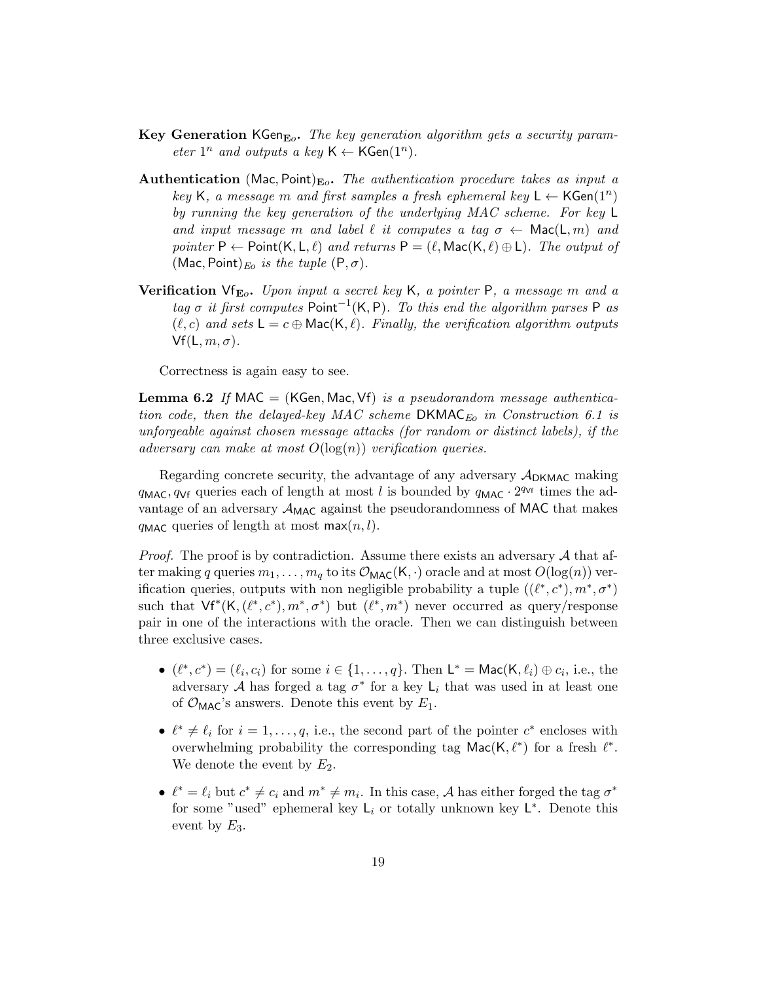- Key Generation KGen<sub>Eo</sub>. The key generation algorithm gets a security parameter  $1^n$  and outputs a key  $\mathsf{K} \leftarrow \mathsf{KGen}(1^n)$ .
- **Authentication** (Mac, Point)<sub>Eo</sub>. The authentication procedure takes as input a key K, a message m and first samples a fresh ephemeral key  $L \leftarrow \mathsf{KGen}(1^n)$ by running the key generation of the underlying MAC scheme. For key L and input message m and label  $\ell$  it computes a tag  $\sigma \leftarrow \text{Mac}(L, m)$  and pointer  $P \leftarrow$  Point $(K, L, \ell)$  and returns  $P = (\ell, \text{Mac}(K, \ell) \oplus L)$ . The output of (Mac, Point)<sub>Eo</sub> is the tuple  $(P, \sigma)$ .
- Verification  $\forall f_{E_o}$ . Upon input a secret key K, a pointer P, a message m and a tag  $\sigma$  it first computes Point<sup>-1</sup>(K, P). To this end the algorithm parses P as  $(\ell, c)$  and sets  $\mathsf{L} = c \oplus \mathsf{Mac}(\mathsf{K}, \ell)$ . Finally, the verification algorithm outputs  $Vf(L, m, \sigma)$ .

Correctness is again easy to see.

**Lemma 6.2** If MAC = (KGen, Mac, Vf) is a pseudorandom message authentication code, then the delayed-key MAC scheme DKMAC<sub>E</sub> in Construction 6.1 is unforgeable against chosen message attacks (for random or distinct labels), if the adversary can make at most  $O(\log(n))$  verification queries.

Regarding concrete security, the advantage of any adversary  $A_{\text{DKMAC}}$  making  $q_{\text{MAC}}, q_{\text{Vf}}$  queries each of length at most l is bounded by  $q_{\text{MAC}} \cdot 2^{q_{\text{Vf}}}$  times the advantage of an adversary  $\mathcal{A}_{MAC}$  against the pseudorandomness of MAC that makes  $q_{\text{MAC}}$  queries of length at most max $(n, l)$ .

*Proof.* The proof is by contradiction. Assume there exists an adversary  $\mathcal A$  that after making q queries  $m_1, \ldots, m_q$  to its  $\mathcal{O}_{\text{MAC}}(K, \cdot)$  oracle and at most  $O(\log(n))$  verification queries, outputs with non negligible probability a tuple  $((\ell^*, c^*, m^*, \sigma^*)$ such that  $Vf^*(K, (\ell^*, c^*, m^*, \sigma^*)$  but  $(\ell^*, m^*)$  never occurred as query/response pair in one of the interactions with the oracle. Then we can distinguish between three exclusive cases.

- $(\ell^*, c^*) = (\ell_i, c_i)$  for some  $i \in \{1, \ldots, q\}$ . Then  $\mathsf{L}^* = \mathsf{Mac}(\mathsf{K}, \ell_i) \oplus c_i$ , i.e., the adversary A has forged a tag  $\sigma^*$  for a key  $\mathsf{L}_i$  that was used in at least one of  $\mathcal{O}_{\text{MAC}}$ 's answers. Denote this event by  $E_1$ .
- $\ell^* \neq \ell_i$  for  $i = 1, \ldots, q$ , i.e., the second part of the pointer  $c^*$  encloses with overwhelming probability the corresponding tag  $\textsf{Mac}(K, \ell^*)$  for a fresh  $\ell^*$ . We denote the event by  $E_2$ .
- $\ell^* = \ell_i$  but  $c^* \neq c_i$  and  $m^* \neq m_i$ . In this case, A has either forged the tag  $\sigma^*$ for some "used" ephemeral key  $L_i$  or totally unknown key  $L^*$ . Denote this event by  $E_3$ .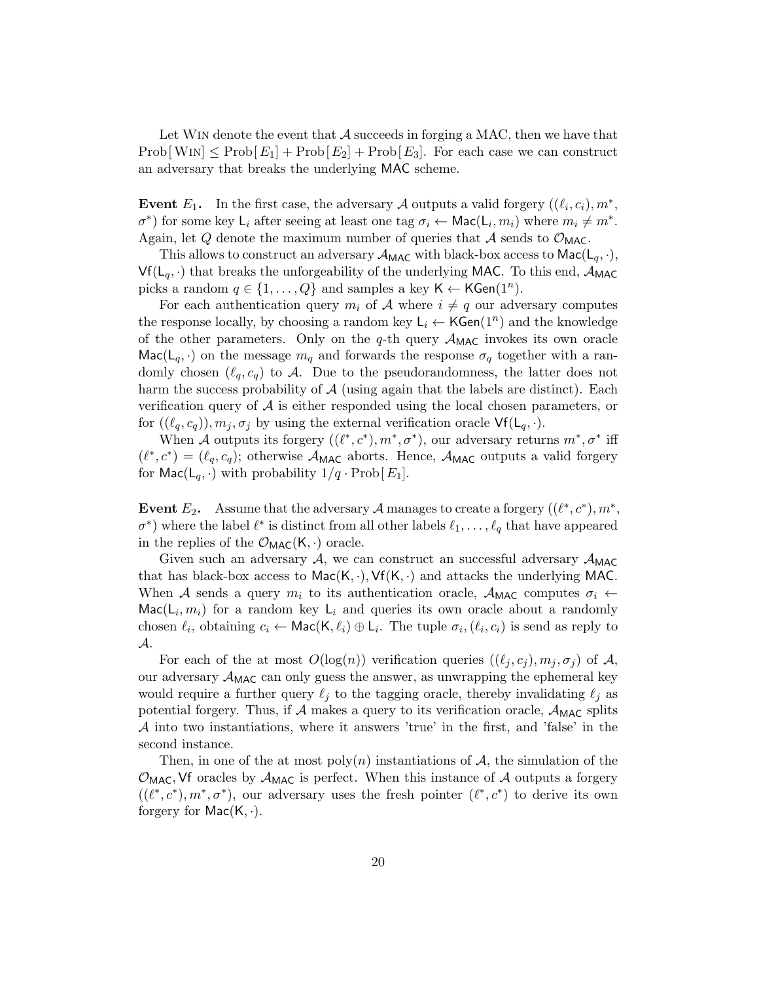Let WIN denote the event that  $A$  succeeds in forging a MAC, then we have that  $\text{Prob}[W \text{IN}] \leq \text{Prob}[E_1] + \text{Prob}[E_2] + \text{Prob}[E_3]$ . For each case we can construct an adversary that breaks the underlying MAC scheme.

Event  $E_1$ . In the first case, the adversary A outputs a valid forgery  $((\ell_i, c_i), m^*,$  $\sigma^*$ ) for some key  $\mathsf{L}_i$  after seeing at least one tag  $\sigma_i \leftarrow \mathsf{Mac}(\mathsf{L}_i, m_i)$  where  $m_i \neq m^*$ . Again, let Q denote the maximum number of queries that A sends to  $\mathcal{O}_{\text{MAC}}$ .

This allows to construct an adversary  $\mathcal{A}_{MAC}$  with black-box access to  $Mac(L_q, \cdot),$  $Vf(L_q, \cdot)$  that breaks the unforgeability of the underlying MAC. To this end,  $\mathcal{A}_{MAC}$ picks a random  $q \in \{1, ..., Q\}$  and samples a key  $K \leftarrow \mathsf{KGen}(1^n)$ .

For each authentication query  $m_i$  of  $A$  where  $i \neq q$  our adversary computes the response locally, by choosing a random key  $\mathsf{L}_i \leftarrow \mathsf{KGen}(1^n)$  and the knowledge of the other parameters. Only on the  $q$ -th query  $\mathcal{A}_{MAC}$  invokes its own oracle Mac( $\mathsf{L}_q$ ,  $\cdot$ ) on the message  $m_q$  and forwards the response  $\sigma_q$  together with a randomly chosen  $(\ell_q, c_q)$  to  $\mathcal A$ . Due to the pseudorandomness, the latter does not harm the success probability of  $A$  (using again that the labels are distinct). Each verification query of  $A$  is either responded using the local chosen parameters, or for  $((\ell_q, c_q)), m_j, \sigma_j$  by using the external verification oracle  $\mathsf{Vf}(\mathsf{L}_q, \cdot)$ .

When 𝒜 outputs its forgery ((ℓ ∗ , 𝑐<sup>∗</sup> ), 𝑚<sup>∗</sup> , 𝜎<sup>∗</sup> ), our adversary returns 𝑚<sup>∗</sup> , 𝜎<sup>∗</sup> iff  $(\ell^*, c^*) = (\ell_q, c_q)$ ; otherwise  $\mathcal{A}_{MAC}$  aborts. Hence,  $\mathcal{A}_{MAC}$  outputs a valid forgery for  $\textsf{Mac}(L_q, \cdot)$  with probability  $1/q \cdot \text{Prob}[E_1]$ .

Event  $E_2$ . Assume that the adversary  $\mathcal A$  manages to create a forgery  $((\ell^*, c^*, m^*,$  $\sigma^*$ ) where the label  $\ell^*$  is distinct from all other labels  $\ell_1, \ldots, \ell_q$  that have appeared in the replies of the  $\mathcal{O}_{\text{MAC}}(K, \cdot)$  oracle.

Given such an adversary  $A$ , we can construct an successful adversary  $A_{MAC}$ that has black-box access to  $Mac(K, \cdot), Vf(K, \cdot)$  and attacks the underlying MAC. When A sends a query  $m_i$  to its authentication oracle,  $A_{MAC}$  computes  $\sigma_i \leftarrow$  $\textsf{Mac}(L_i, m_i)$  for a random key  $L_i$  and queries its own oracle about a randomly chosen  $\ell_i$ , obtaining  $c_i \leftarrow \mathsf{Mac}(\mathsf{K}, \ell_i) \oplus \mathsf{L}_i$ . The tuple  $\sigma_i$ ,  $(\ell_i, c_i)$  is send as reply to  $\mathcal{A}.$ 

For each of the at most  $O(\log(n))$  verification queries  $((\ell_j, c_j), m_j, \sigma_j)$  of A, our adversary  $\mathcal{A}_{\text{MAC}}$  can only guess the answer, as unwrapping the ephemeral key would require a further query  $\ell_j$  to the tagging oracle, thereby invalidating  $\ell_j$  as potential forgery. Thus, if  $\mathcal A$  makes a query to its verification oracle,  $\mathcal A_{\text{MAC}}$  splits  $\mathcal A$  into two instantiations, where it answers 'true' in the first, and 'false' in the second instance.

Then, in one of the at most  $poly(n)$  instantiations of A, the simulation of the  $\mathcal{O}_{\text{MAC}}$ , Vf oracles by  $\mathcal{A}_{\text{MAC}}$  is perfect. When this instance of  $\mathcal{A}$  outputs a forgery  $((\ell^*, c^*, m^*, \sigma^*)$ , our adversary uses the fresh pointer  $(\ell^*, c^*)$  to derive its own forgery for  $Mac(K, \cdot)$ .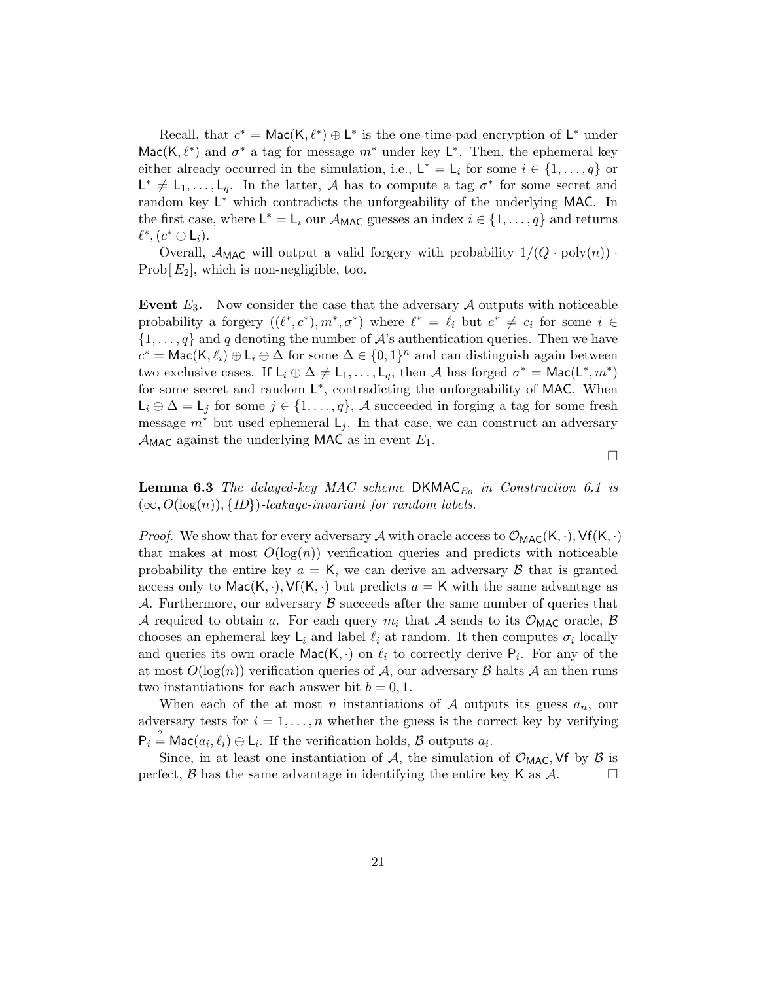Recall, that  $c^* = \text{Mac}(K, \ell^*) \oplus L^*$  is the one-time-pad encryption of  $L^*$  under Mac(K,  $\ell^*$ ) and  $\sigma^*$  a tag for message  $m^*$  under key  $\mathsf{L}^*$ . Then, the ephemeral key either already occurred in the simulation, i.e.,  $L^* = L_i$  for some  $i \in \{1, ..., q\}$  or  $L^* \neq L_1, \ldots, L_q$ . In the latter, A has to compute a tag  $\sigma^*$  for some secret and random key L<sup>\*</sup> which contradicts the unforgeability of the underlying MAC. In the first case, where  $\mathsf{L}^* = \mathsf{L}_i$  our  $\mathcal{A}_{\mathsf{MAC}}$  guesses an index  $i \in \{1, \ldots, q\}$  and returns  $\ell^*,$   $(c^* \oplus L_i)$ .

Overall,  $\mathcal{A}_{\text{MAC}}$  will output a valid forgery with probability  $1/(Q \cdot \text{poly}(n)) \cdot$ Prob $[E_2]$ , which is non-negligible, too.

Event  $E_3$ . Now consider the case that the adversary  $A$  outputs with noticeable probability a forgery  $((\ell^*, c^*), m^*, \sigma^*)$  where  $\ell^* = \ell_i$  but  $c^* \neq c_i$  for some  $i \in$  $\{1,\ldots,q\}$  and q denoting the number of  $\mathcal{A}$ 's authentication queries. Then we have  $c^* = \mathsf{Mac}(\mathsf{K}, \ell_i) \oplus \mathsf{L}_i \oplus \Delta$  for some  $\Delta \in \{0, 1\}^n$  and can distinguish again between two exclusive cases. If  $L_i \oplus \Delta \neq L_1, \ldots, L_q$ , then A has forged  $\sigma^* = \text{Mac}(L^*, m^*)$ for some secret and random L<sup>\*</sup>, contradicting the unforgeability of MAC. When  $L_i \oplus \Delta = L_j$  for some  $j \in \{1, \ldots, q\}$ , A succeeded in forging a tag for some fresh message  $m^*$  but used ephemeral  $\mathsf{L}_i$ . In that case, we can construct an adversary  $\mathcal{A}_{MAC}$  against the underlying MAC as in event  $E_1$ .

□

**Lemma 6.3** The delayed-key MAC scheme  $DKMAC_{Eo}$  in Construction 6.1 is  $(\infty, O(\log(n)), \{ID\})$ -leakage-invariant for random labels.

*Proof.* We show that for every adversary A with oracle access to  $\mathcal{O}_{MAC}(K, \cdot), Vf(K, \cdot)$ that makes at most  $O(\log(n))$  verification queries and predicts with noticeable probability the entire key  $a = K$ , we can derive an adversary  $\beta$  that is granted access only to  $\textsf{Mac}(K, \cdot), \textsf{Vf}(K, \cdot)$  but predicts  $a = K$  with the same advantage as A. Furthermore, our adversary  $\beta$  succeeds after the same number of queries that A required to obtain a. For each query  $m_i$  that A sends to its  $\mathcal{O}_{\text{MAC}}$  oracle,  $\beta$ chooses an ephemeral key  $\mathsf{L}_i$  and label  $\ell_i$  at random. It then computes  $\sigma_i$  locally and queries its own oracle  $\textsf{Mac}(K, \cdot)$  on  $\ell_i$  to correctly derive  $P_i$ . For any of the at most  $O(\log(n))$  verification queries of A, our adversary  $\beta$  halts A an then runs two instantiations for each answer bit  $b = 0, 1$ .

When each of the at most n instantiations of  $A$  outputs its guess  $a_n$ , our adversary tests for  $i = 1, ..., n$  whether the guess is the correct key by verifying  $P_i \stackrel{?}{=} \mathsf{Mac}(a_i, \ell_i) \oplus \mathsf{L}_i$ . If the verification holds,  $\mathcal B$  outputs  $a_i$ .

Since, in at least one instantiation of  $A$ , the simulation of  $\mathcal{O}_{MAC}$ , Vf by  $\beta$  is perfect,  $\beta$  has the same advantage in identifying the entire key K as  $\mathcal{A}$ .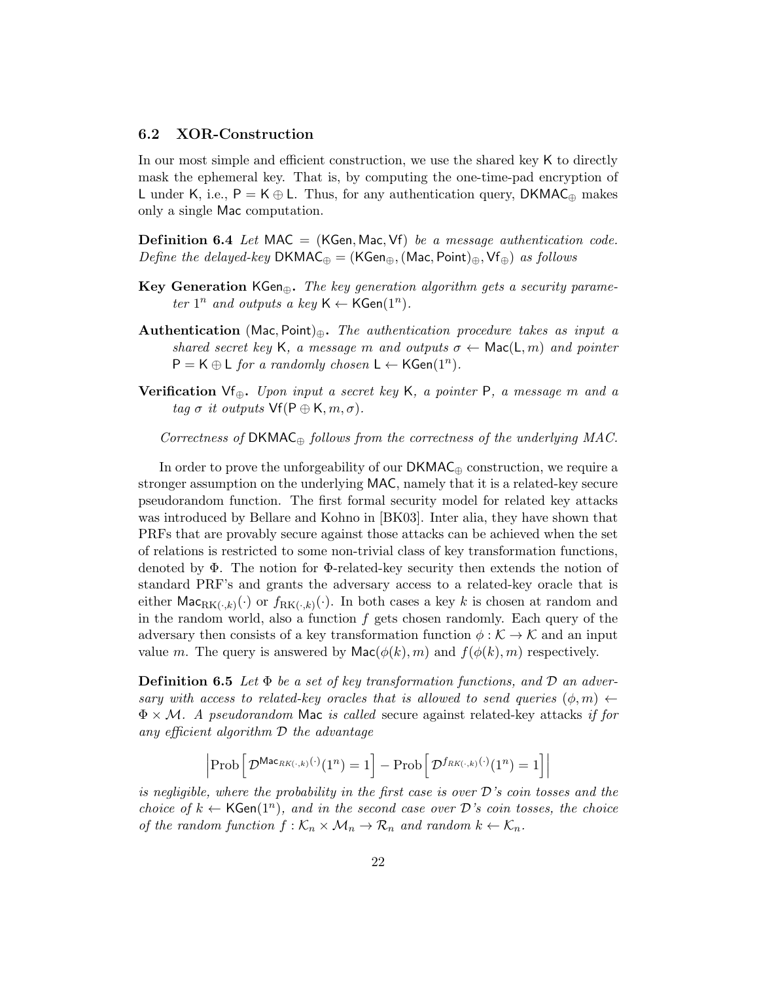#### 6.2 XOR-Construction

In our most simple and efficient construction, we use the shared key K to directly mask the ephemeral key. That is, by computing the one-time-pad encryption of L under K, i.e.,  $P = K \oplus L$ . Thus, for any authentication query, DKMAC<sub>⊕</sub> makes only a single Mac computation.

**Definition 6.4** Let MAC = (KGen, Mac, Vf) be a message authentication code. Define the delayed-key DKMAC $_{\oplus}$  = (KGen $_{\oplus}$ , (Mac, Point) $_{\oplus}$ , Vf $_{\oplus}$ ) as follows

- Key Generation KGen⊕. The key generation algorithm gets a security parameter  $1^n$  and outputs a key  $\mathsf{K} \leftarrow \mathsf{KGen}(1^n)$ .
- Authentication (Mac, Point)⊕. The authentication procedure takes as input a shared secret key K, a message m and outputs  $\sigma \leftarrow \text{Mac}(L, m)$  and pointer  $P = K \oplus L$  for a randomly chosen  $L \leftarrow KGen(1^n)$ .
- Verification Vf $_{\oplus}$ . Upon input a secret key K, a pointer P, a message m and a tag  $\sigma$  it outputs  $\mathsf{Vf}(\mathsf{P} \oplus \mathsf{K}, m, \sigma)$ .

Correctness of  $DKMAC_{\oplus}$  follows from the correctness of the underlying MAC.

In order to prove the unforgeability of our  $DKMAC_{\oplus}$  construction, we require a stronger assumption on the underlying MAC, namely that it is a related-key secure pseudorandom function. The first formal security model for related key attacks was introduced by Bellare and Kohno in [BK03]. Inter alia, they have shown that PRFs that are provably secure against those attacks can be achieved when the set of relations is restricted to some non-trivial class of key transformation functions, denoted by Φ. The notion for Φ-related-key security then extends the notion of standard PRF's and grants the adversary access to a related-key oracle that is either  $\mathsf{Mac}_{\mathrm{RK}(\cdot,k)}(\cdot)$  or  $f_{\mathrm{RK}(\cdot,k)}(\cdot)$ . In both cases a key k is chosen at random and in the random world, also a function  $f$  gets chosen randomly. Each query of the adversary then consists of a key transformation function  $\phi : \mathcal{K} \to \mathcal{K}$  and an input value m. The query is answered by  $\textsf{Mac}(\phi(k), m)$  and  $f(\phi(k), m)$  respectively.

**Definition 6.5** Let  $\Phi$  be a set of key transformation functions, and  $\mathcal D$  an adversary with access to related-key oracles that is allowed to send queries  $(\phi, m) \leftarrow$  $\Phi \times \mathcal{M}$ . A pseudorandom Mac is called secure against related-key attacks if for any efficient algorithm  $\mathcal D$  the advantage

$$
\left|\text{Prob}\left[\mathcal{D}^{\text{Mac}_{RK(\cdot,k)}(\cdot)}(1^n) = 1\right] - \text{Prob}\left[\mathcal{D}^{f_{RK(\cdot,k)}(\cdot)}(1^n) = 1\right]\right|
$$

is negligible, where the probability in the first case is over  $\mathcal{D}'$ 's coin tosses and the choice of  $k \leftarrow \textsf{KGen}(1^n)$ , and in the second case over  $\mathcal{D}'s$  coin tosses, the choice of the random function  $f : \mathcal{K}_n \times \mathcal{M}_n \to \mathcal{R}_n$  and random  $k \leftarrow \mathcal{K}_n$ .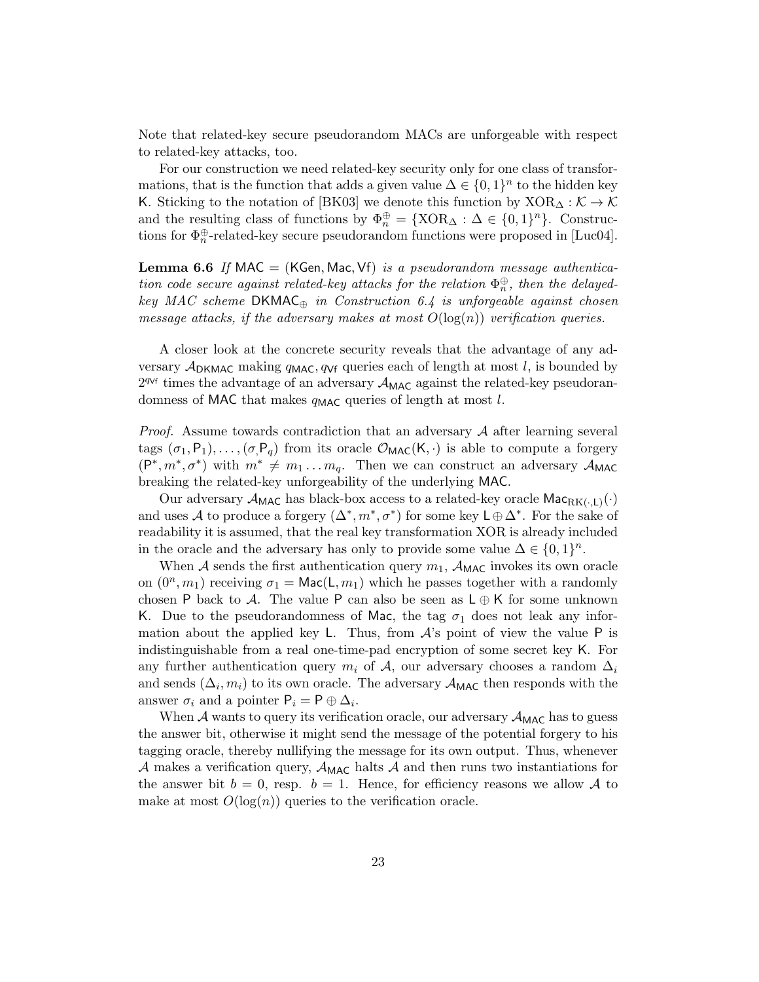Note that related-key secure pseudorandom MACs are unforgeable with respect to related-key attacks, too.

For our construction we need related-key security only for one class of transformations, that is the function that adds a given value  $\Delta \in \{0,1\}^n$  to the hidden key K. Sticking to the notation of [BK03] we denote this function by  $XOR_{\Delta}: \mathcal{K} \to \mathcal{K}$ and the resulting class of functions by  $\Phi_n^{\oplus} = {\text{XOR}}_{\Delta} : \Delta \in \{0,1\}^n$ . Constructions for  $\Phi_n^{\oplus}$ -related-key secure pseudorandom functions were proposed in [Luc04].

**Lemma 6.6** If MAC = (KGen, Mac, Vf) is a pseudorandom message authentication code secure against related-key attacks for the relation  $\Phi_n^{\oplus}$ , then the delayedkey MAC scheme DKMAC $_{\oplus}$  in Construction 6.4 is unforgeable against chosen message attacks, if the adversary makes at most  $O(\log(n))$  verification queries.

A closer look at the concrete security reveals that the advantage of any adversary  $\mathcal{A}_{\text{DKMAC}}$  making  $q_{\text{MAC}}$ ,  $q_{\text{Vf}}$  queries each of length at most l, is bounded by  $2^{q_{Vf}}$  times the advantage of an adversary  $\mathcal{A}_{MAC}$  against the related-key pseudorandomness of MAC that makes  $q_{\text{MAC}}$  queries of length at most l.

*Proof.* Assume towards contradiction that an adversary  $A$  after learning several tags  $(\sigma_1, P_1), \ldots, (\sigma_r, P_q)$  from its oracle  $\mathcal{O}_{MAC}(K, \cdot)$  is able to compute a forgery  $(P^*, m^*, \sigma^*)$  with  $m^* \neq m_1 \dots m_q$ . Then we can construct an adversary  $\mathcal{A}_{MAC}$ breaking the related-key unforgeability of the underlying MAC.

Our adversary  $\mathcal{A}_{MAC}$  has black-box access to a related-key oracle  $Mac_{RK(:,L)}(\cdot)$ and uses A to produce a forgery  $(\Delta^*, m^*, \sigma^*)$  for some key  $\mathsf{L}\oplus \Delta^*$ . For the sake of readability it is assumed, that the real key transformation XOR is already included in the oracle and the adversary has only to provide some value  $\Delta \in \{0,1\}^n$ .

When A sends the first authentication query  $m_1$ ,  $\mathcal{A}_{\text{MAC}}$  invokes its own oracle on  $(0^n, m_1)$  receiving  $\sigma_1 = \text{Mac}(L, m_1)$  which he passes together with a randomly chosen P back to A. The value P can also be seen as  $L \oplus K$  for some unknown K. Due to the pseudorandomness of Mac, the tag  $\sigma_1$  does not leak any information about the applied key L. Thus, from  $A$ 's point of view the value P is indistinguishable from a real one-time-pad encryption of some secret key K. For any further authentication query  $m_i$  of  $A$ , our adversary chooses a random  $\Delta_i$ and sends  $(\Delta_i, m_i)$  to its own oracle. The adversary  $\mathcal{A}_{\text{MAC}}$  then responds with the answer  $\sigma_i$  and a pointer  $P_i = P \oplus \Delta_i$ .

When  $A$  wants to query its verification oracle, our adversary  $A_{MAC}$  has to guess the answer bit, otherwise it might send the message of the potential forgery to his tagging oracle, thereby nullifying the message for its own output. Thus, whenever A makes a verification query,  $\mathcal{A}_{\text{MAC}}$  halts A and then runs two instantiations for the answer bit  $b = 0$ , resp.  $b = 1$ . Hence, for efficiency reasons we allow A to make at most  $O(\log(n))$  queries to the verification oracle.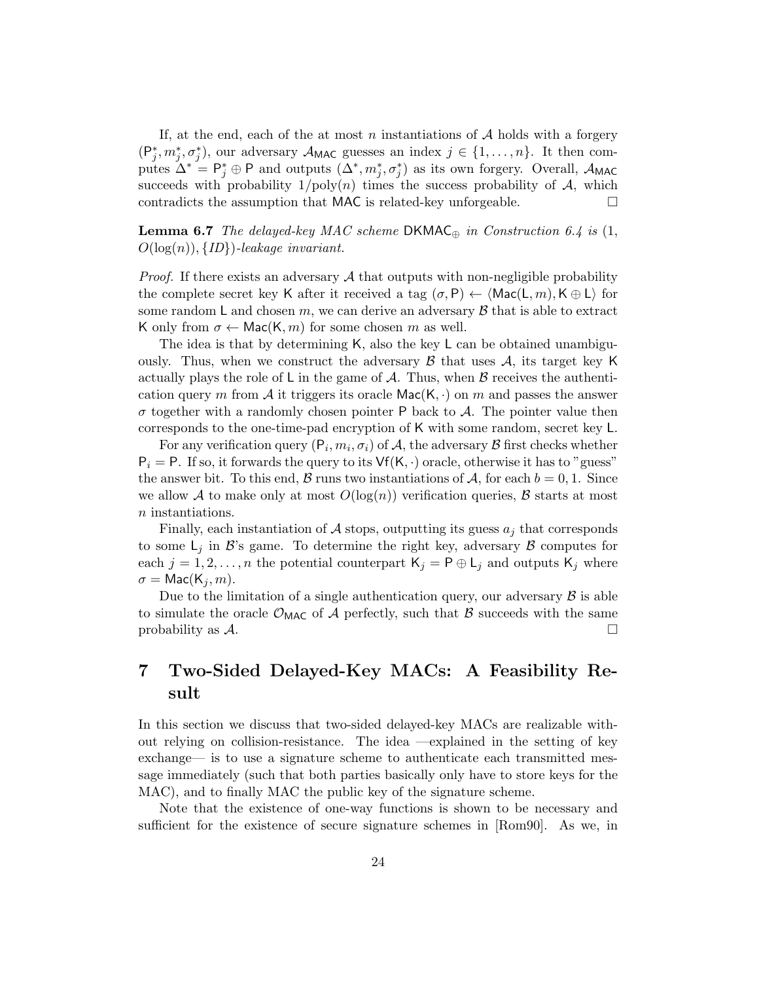If, at the end, each of the at most n instantiations of  $A$  holds with a forgery  $(P_j^*, m_j^*, \sigma_j^*)$ , our adversary  $\mathcal{A}_{MAC}$  guesses an index  $j \in \{1, ..., n\}$ . It then computes  $\Delta^* = \mathsf{P}_j^* \oplus \mathsf{P}$  and outputs  $(\Delta^*, m_j^*, \sigma_j^*)$  as its own forgery. Overall,  $\mathcal{A}_{\mathsf{MAC}}$ succeeds with probability  $1/poly(n)$  times the success probability of  $A$ , which contradicts the assumption that MAC is related-key unforgeable.  $\Box$ 

**Lemma 6.7** The delayed-key MAC scheme DKMAC<sub>⊕</sub> in Construction 6.4 is  $(1, 1)$  $O(log(n)), \{ID\}$ )-leakage invariant.

*Proof.* If there exists an adversary  $\mathcal A$  that outputs with non-negligible probability the complete secret key K after it received a tag  $(\sigma, P) \leftarrow \langle \text{Mac}(L, m), K \oplus L \rangle$  for some random L and chosen  $m$ , we can derive an adversary  $\beta$  that is able to extract K only from  $\sigma \leftarrow \text{Mac}(K, m)$  for some chosen m as well.

The idea is that by determining K, also the key L can be obtained unambiguously. Thus, when we construct the adversary  $\beta$  that uses  $\mathcal{A}$ , its target key K actually plays the role of L in the game of  $\mathcal A$ . Thus, when  $\mathcal B$  receives the authentication query m from  $A$  it triggers its oracle Mac(K, ·) on m and passes the answer  $\sigma$  together with a randomly chosen pointer P back to  $\mathcal{A}$ . The pointer value then corresponds to the one-time-pad encryption of K with some random, secret key L.

For any verification query  $(P_i, m_i, \sigma_i)$  of A, the adversary  $\mathcal B$  first checks whether  $P_i = P$ . If so, it forwards the query to its  $Vf(K, \cdot)$  oracle, otherwise it has to "guess" the answer bit. To this end,  $\beta$  runs two instantiations of  $\mathcal{A}$ , for each  $b = 0, 1$ . Since we allow A to make only at most  $O(\log(n))$  verification queries, B starts at most  $n$  instantiations.

Finally, each instantiation of  $A$  stops, outputting its guess  $a_j$  that corresponds to some  $\mathsf{L}_j$  in  $\mathcal{B}$ 's game. To determine the right key, adversary  $\mathcal{B}$  computes for each  $j = 1, 2, ..., n$  the potential counterpart  $\mathsf{K}_j = \mathsf{P} \oplus \mathsf{L}_j$  and outputs  $\mathsf{K}_j$  where  $\sigma = \text{Mac}(K_i, m)$ .

Due to the limitation of a single authentication query, our adversary  $\beta$  is able to simulate the oracle  $\mathcal{O}_{\text{MAC}}$  of A perfectly, such that B succeeds with the same probability as  $\mathcal{A}$ .

# 7 Two-Sided Delayed-Key MACs: A Feasibility Result

In this section we discuss that two-sided delayed-key MACs are realizable without relying on collision-resistance. The idea —explained in the setting of key exchange— is to use a signature scheme to authenticate each transmitted message immediately (such that both parties basically only have to store keys for the MAC), and to finally MAC the public key of the signature scheme.

Note that the existence of one-way functions is shown to be necessary and sufficient for the existence of secure signature schemes in [Rom90]. As we, in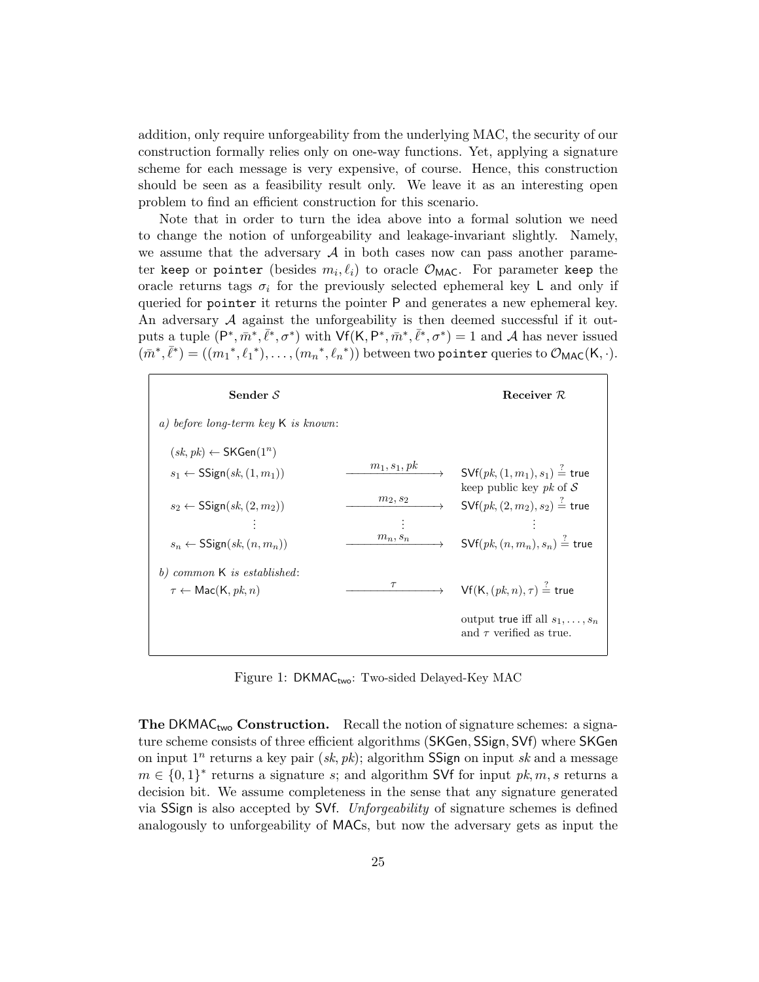addition, only require unforgeability from the underlying MAC, the security of our construction formally relies only on one-way functions. Yet, applying a signature scheme for each message is very expensive, of course. Hence, this construction should be seen as a feasibility result only. We leave it as an interesting open problem to find an efficient construction for this scenario.

Note that in order to turn the idea above into a formal solution we need to change the notion of unforgeability and leakage-invariant slightly. Namely, we assume that the adversary  $A$  in both cases now can pass another parameter keep or pointer (besides  $m_i, \ell_i$ ) to oracle  $\mathcal{O}_{\mathsf{MAC}}$ . For parameter keep the oracle returns tags  $\sigma_i$  for the previously selected ephemeral key L and only if queried for pointer it returns the pointer P and generates a new ephemeral key. An adversary  $A$  against the unforgeability is then deemed successful if it outputs a tuple  $(P^*, \bar{m}^*, \bar{\ell}^*, \sigma^*)$  with  $\mathsf{Vf}(\mathsf{K}, P^*, \bar{m}^*, \bar{\ell}^*, \sigma^*) = 1$  and A has never issued  $(m^*, \overline{\ell}^*) = ((m_1^*, \ell_1^*), \ldots, (m_n^*, \ell_n^*))$  between two pointer queries to  $\mathcal{O}_{\text{MAC}}(K, \cdot)$ .

| Sender $S$                                                                                 |                                      | Receiver $R$                                                                                                                                                        |
|--------------------------------------------------------------------------------------------|--------------------------------------|---------------------------------------------------------------------------------------------------------------------------------------------------------------------|
| a) before long-term key $K$ is known:                                                      |                                      |                                                                                                                                                                     |
| $(sk, pk) \leftarrow \mathsf{SKGen}(1^n)$<br>$s_1 \leftarrow \mathsf{SSign}(sk, (1, m_1))$ | $m_1, s_1, pk$                       | $\rightarrow$ SVf $(\mathit{pk},(1,m_1),s_1) \overset{?}{=}$ true<br>keep public key pk of $S$<br>$\rightarrow$ SVf $(\mathit{pk},(2,m_2),s_2) \overset{?}{=}$ true |
| $s_2 \leftarrow \mathsf{SSign}(sk, (2, m_2))$                                              | $m_2, s_2$                           |                                                                                                                                                                     |
| $s_n \leftarrow$ SSign $(sk, (n, m_n))$                                                    | $\boldsymbol{m}_n, \boldsymbol{s}_n$ | $\mathsf{SVf}(pk,(n,m_n),s_n) \stackrel{?}{=}$ true                                                                                                                 |
| $b)$ common $K$ is established:<br>$\tau \leftarrow \text{Mac}(K, pk, n)$                  | $\tau$                               | $\mathsf{Vf}(\mathsf{K}, (pk, n), \tau) \stackrel{?}{=}$ true                                                                                                       |
|                                                                                            |                                      | output true iff all $s_1, \ldots, s_n$<br>and $\tau$ verified as true.                                                                                              |

Figure 1: DKMAC<sub>two</sub>: Two-sided Delayed-Key MAC

**The DKMAC<sub>two</sub> Construction.** Recall the notion of signature schemes: a signature scheme consists of three efficient algorithms (SKGen, SSign, SVf) where SKGen on input  $1^n$  returns a key pair  $(sk, pk)$ ; algorithm SSign on input sk and a message  $m \in \{0,1\}^*$  returns a signature s; and algorithm SVf for input  $pk, m, s$  returns a decision bit. We assume completeness in the sense that any signature generated via SSign is also accepted by SVf. Unforgeability of signature schemes is defined analogously to unforgeability of MACs, but now the adversary gets as input the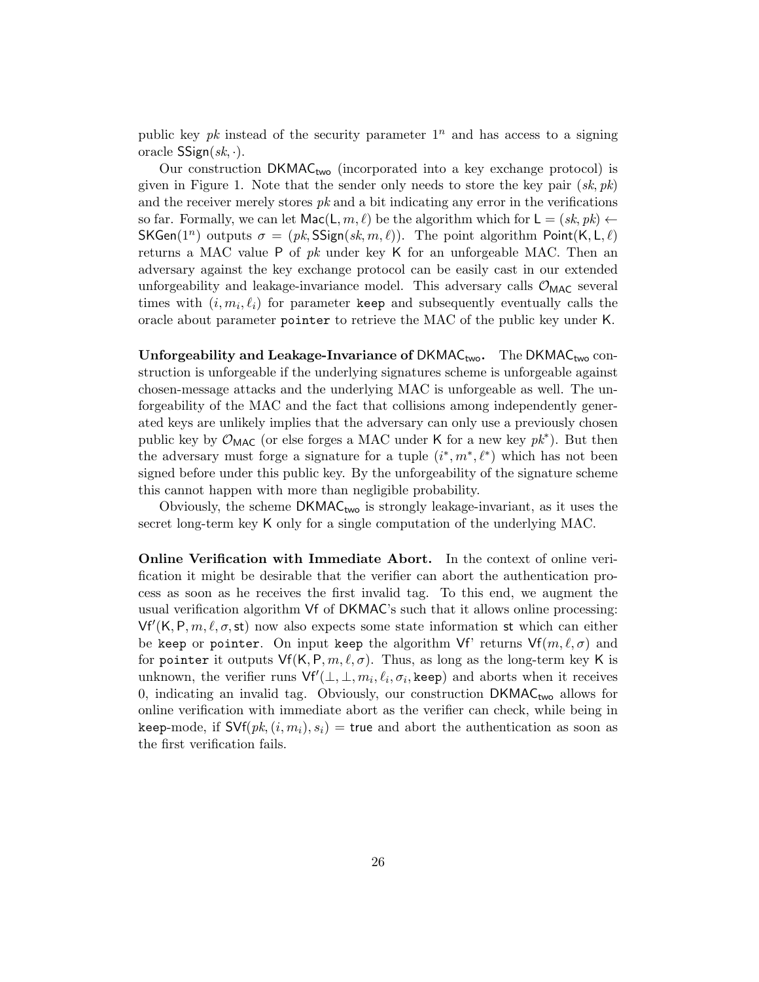public key pk instead of the security parameter  $1<sup>n</sup>$  and has access to a signing oracle  $SSign(sk, \cdot)$ .

Our construction  $DKMAC_{two}$  (incorporated into a key exchange protocol) is given in Figure 1. Note that the sender only needs to store the key pair  $(s_k, pk)$ and the receiver merely stores  $pk$  and a bit indicating any error in the verifications so far. Formally, we can let  $\textsf{Mac}(\mathsf{L}, m, \ell)$  be the algorithm which for  $\mathsf{L} = (sk, pk) \leftarrow$ SKGen(1<sup>n</sup>) outputs  $\sigma = (pk, SSign(sk, m, \ell)$ . The point algorithm Point(K, L,  $\ell$ ) returns a MAC value P of  $pk$  under key K for an unforgeable MAC. Then an adversary against the key exchange protocol can be easily cast in our extended unforgeability and leakage-invariance model. This adversary calls  $\mathcal{O}_{\text{MAC}}$  several times with  $(i, m_i, \ell_i)$  for parameter keep and subsequently eventually calls the oracle about parameter pointer to retrieve the MAC of the public key under K.

Unforgeability and Leakage-Invariance of DKMAC<sub>two</sub>. The DKMAC<sub>two</sub> construction is unforgeable if the underlying signatures scheme is unforgeable against chosen-message attacks and the underlying MAC is unforgeable as well. The unforgeability of the MAC and the fact that collisions among independently generated keys are unlikely implies that the adversary can only use a previously chosen public key by  $\mathcal{O}_{\text{MAC}}$  (or else forges a MAC under K for a new key  $pk^*$ ). But then the adversary must forge a signature for a tuple  $(i^*, m^*, \ell^*)$  which has not been signed before under this public key. By the unforgeability of the signature scheme this cannot happen with more than negligible probability.

Obviously, the scheme  $DKMAC_{two}$  is strongly leakage-invariant, as it uses the secret long-term key K only for a single computation of the underlying MAC.

Online Verification with Immediate Abort. In the context of online verification it might be desirable that the verifier can abort the authentication process as soon as he receives the first invalid tag. To this end, we augment the usual verification algorithm Vf of DKMAC's such that it allows online processing:  $Vf'(K, P, m, \ell, \sigma, st)$  now also expects some state information st which can either be keep or pointer. On input keep the algorithm Vf' returns  $Vf(m,\ell,\sigma)$  and for pointer it outputs  $Vf(K, P, m, \ell, \sigma)$ . Thus, as long as the long-term key K is unknown, the verifier runs  $\mathsf{Vf}'(\bot, \bot, m_i, \ell_i, \sigma_i, \text{keep})$  and aborts when it receives 0, indicating an invalid tag. Obviously, our construction  $DKMAC_{two}$  allows for online verification with immediate abort as the verifier can check, while being in keep-mode, if  $\mathsf{SVf}(pk, (i, m_i), s_i) = \mathsf{true}$  and abort the authentication as soon as the first verification fails.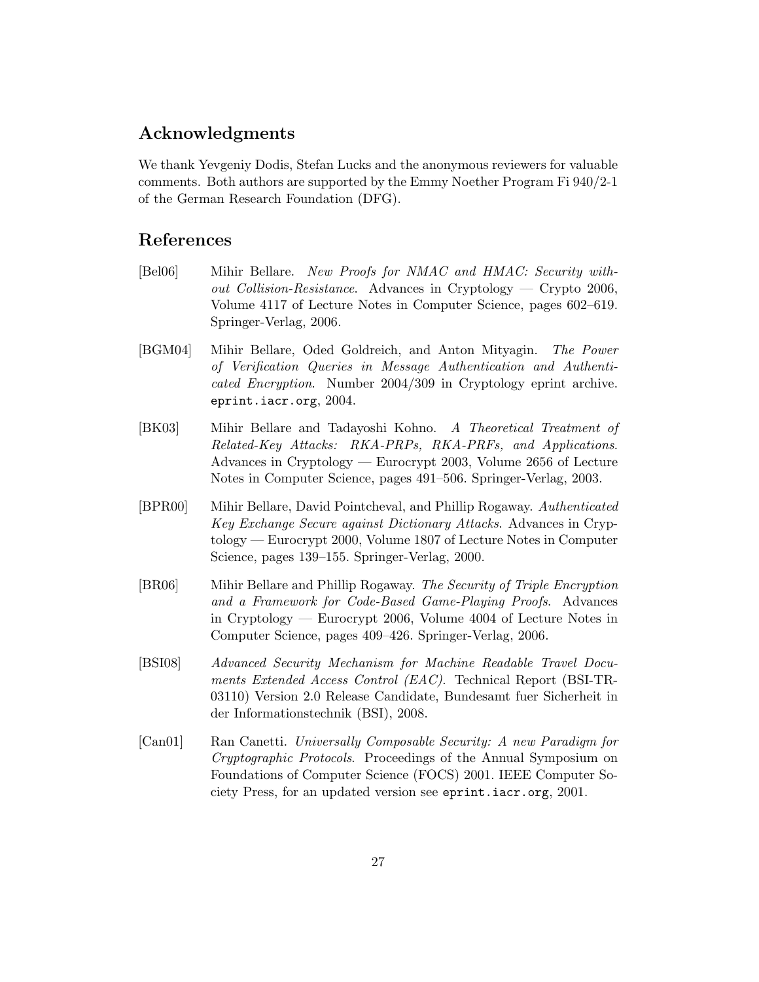# Acknowledgments

We thank Yevgeniy Dodis, Stefan Lucks and the anonymous reviewers for valuable comments. Both authors are supported by the Emmy Noether Program Fi 940/2-1 of the German Research Foundation (DFG).

### References

- [Bel06] Mihir Bellare. New Proofs for NMAC and HMAC: Security without Collision-Resistance. Advances in Cryptology — Crypto 2006, Volume 4117 of Lecture Notes in Computer Science, pages 602–619. Springer-Verlag, 2006.
- [BGM04] Mihir Bellare, Oded Goldreich, and Anton Mityagin. The Power of Verification Queries in Message Authentication and Authenticated Encryption. Number 2004/309 in Cryptology eprint archive. eprint.iacr.org, 2004.
- [BK03] Mihir Bellare and Tadayoshi Kohno. A Theoretical Treatment of Related-Key Attacks: RKA-PRPs, RKA-PRFs, and Applications. Advances in Cryptology — Eurocrypt 2003, Volume 2656 of Lecture Notes in Computer Science, pages 491–506. Springer-Verlag, 2003.
- [BPR00] Mihir Bellare, David Pointcheval, and Phillip Rogaway. Authenticated Key Exchange Secure against Dictionary Attacks. Advances in Cryptology — Eurocrypt 2000, Volume 1807 of Lecture Notes in Computer Science, pages 139–155. Springer-Verlag, 2000.
- [BR06] Mihir Bellare and Phillip Rogaway. The Security of Triple Encryption and a Framework for Code-Based Game-Playing Proofs. Advances in Cryptology — Eurocrypt 2006, Volume 4004 of Lecture Notes in Computer Science, pages 409–426. Springer-Verlag, 2006.
- [BSI08] Advanced Security Mechanism for Machine Readable Travel Documents Extended Access Control (EAC). Technical Report (BSI-TR-03110) Version 2.0 Release Candidate, Bundesamt fuer Sicherheit in der Informationstechnik (BSI), 2008.
- [Can01] Ran Canetti. Universally Composable Security: A new Paradigm for Cryptographic Protocols. Proceedings of the Annual Symposium on Foundations of Computer Science (FOCS) 2001. IEEE Computer Society Press, for an updated version see eprint.iacr.org, 2001.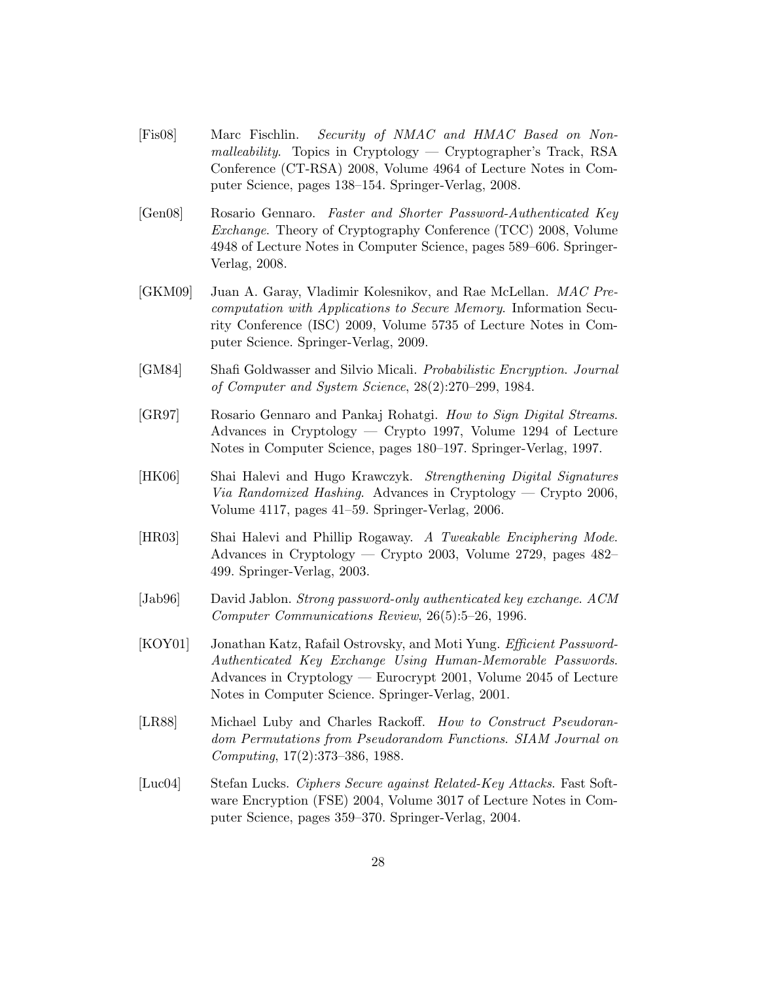- [Fis08] Marc Fischlin. Security of NMAC and HMAC Based on Nonmalleability. Topics in Cryptology — Cryptographer's Track, RSA Conference (CT-RSA) 2008, Volume 4964 of Lecture Notes in Computer Science, pages 138–154. Springer-Verlag, 2008.
- [Gen08] Rosario Gennaro. Faster and Shorter Password-Authenticated Key Exchange. Theory of Cryptography Conference (TCC) 2008, Volume 4948 of Lecture Notes in Computer Science, pages 589–606. Springer-Verlag, 2008.
- [GKM09] Juan A. Garay, Vladimir Kolesnikov, and Rae McLellan. MAC Precomputation with Applications to Secure Memory. Information Security Conference (ISC) 2009, Volume 5735 of Lecture Notes in Computer Science. Springer-Verlag, 2009.
- [GM84] Shafi Goldwasser and Silvio Micali. Probabilistic Encryption. Journal of Computer and System Science, 28(2):270–299, 1984.
- [GR97] Rosario Gennaro and Pankaj Rohatgi. How to Sign Digital Streams. Advances in Cryptology — Crypto 1997, Volume 1294 of Lecture Notes in Computer Science, pages 180–197. Springer-Verlag, 1997.
- [HK06] Shai Halevi and Hugo Krawczyk. Strengthening Digital Signatures Via Randomized Hashing. Advances in Cryptology — Crypto 2006, Volume 4117, pages 41–59. Springer-Verlag, 2006.
- [HR03] Shai Halevi and Phillip Rogaway. A Tweakable Enciphering Mode. Advances in Cryptology — Crypto 2003, Volume 2729, pages 482– 499. Springer-Verlag, 2003.
- [Jab96] David Jablon. Strong password-only authenticated key exchange. ACM Computer Communications Review, 26(5):5–26, 1996.
- [KOY01] Jonathan Katz, Rafail Ostrovsky, and Moti Yung. Efficient Password-Authenticated Key Exchange Using Human-Memorable Passwords. Advances in Cryptology — Eurocrypt 2001, Volume 2045 of Lecture Notes in Computer Science. Springer-Verlag, 2001.
- [LR88] Michael Luby and Charles Rackoff. How to Construct Pseudorandom Permutations from Pseudorandom Functions. SIAM Journal on Computing, 17(2):373–386, 1988.
- [Luc04] Stefan Lucks. Ciphers Secure against Related-Key Attacks. Fast Software Encryption (FSE) 2004, Volume 3017 of Lecture Notes in Computer Science, pages 359–370. Springer-Verlag, 2004.